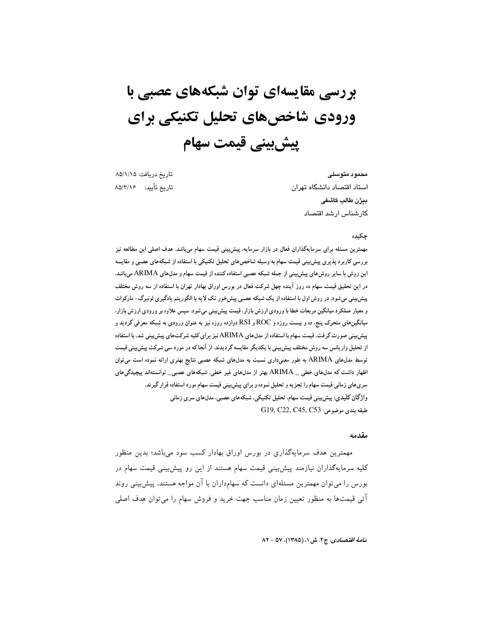# بررسی مقایسهای توان شبکههای عصبی با ورودی شاخصهای تحلیل تکنیکی برای پیش بینی قیمت سهام

تاریخ دریافت: ۸۵/۱/۱۵ تاريخ تأييد: ۸۵/۲/۱۶

محمود متوسلى استاد اقتصاد دانشگاه تهران بيژن طالب كاشفى كارشناس ارشد اقتصاد

#### جكىدە

مهمترین مسئله برای سرمایهگذاران فعال در بازار سرمایه، پیش بینی قیمت سهام می،باشد. هدف اصلی این مطالعه نیز بررسی کاربرد پذیری پیش بینی قیمت سهام به وسیله شاخص های تحلیل تکنیکی با استفاده از شبکههای عصبی و مقایسه این روش با سایر روشهای پیش بینی از جمله شبکه عصبی استفاده کننده از قیمت سهام و مدلهای ARIMA میباشد. در این تحقیق قیمت سهام ده روز آینده چهل شرکت فعال در بورس اوراق بهادار تهران با استفاده از سه روش مختلف پیش بینی می شود. در روش اول با استفاده از یک شبکه عصبی پیش خور تک لایه با الگوریتم یادگیری لونبرگ-مارکوات و معیار عملکرد میانگین مربعات خطا با ورودی ارزش بازار، قیمت پیش بینی میشود. سپس علاوه بر ورودی ارزش بازار، میانگینهای متحرک پنج. ده و بیست روزه و ROC و RSI دوازده روزه نیز به عنوان ورودی به شبکه معرفی گردید و پیش بینی صورت گرفت. قیمت سهام با استفاده از مدلهای ARIMA نیز برای کلیه شرکتهای پیش بینی شد. با استفاده از تحلیل واریانس سه روش مختلف پیش بینی با یکدیگر مقایسه گردیدند. از آنجاکه در مورد سی شرکت پیش بینی قیمت توسط مدلهای ARIMA به طور معنیداری نسبت به مدلهای شبکه عصبی نتایج بهتری ارائه نموده است می توان اظهار داشت که مدلهای خطی \_ ARIMA بهتر از مدلهای غیر خطی، شبکههای عصبی\_ توانستهاند پیچیدگیهای سری های زمانی قیمت سهام را تجزیه و تحلیل نموده و برای پیش بینی قیمت سهام مورد استفاده قرار گیرند. واژگان کلیدی: پیش بینی قیمت سهام، تحلیل تکنیکی، شبکههای عصبی، مدلهای سری زمانی طبقه بندى موضوعى: G19, C22, C45, C53

#### مقدمه

مهمترین هدف سرمایهگذاری در بورس اوراق بهادار کسب سود میباشد؛ بدین منظور کلیه سرمایهگذاران نیازمند پیش بینی قیمت سهام هستند از این رو پیش بینی قیمت سهام در بورس را میتوان مهمترین مسئلهای دانست که سهامداران با آن مواجه هستند. پیش بینی روند آتی قیمتها به منظور تعیین زمان مناسب جهت خرید و فروش سهام را میتوان هدف اصلی

نامهٔ اقتصادی، ج ۲. ش ۱، (۱۳۸۵)، ۵۷ - ۸۲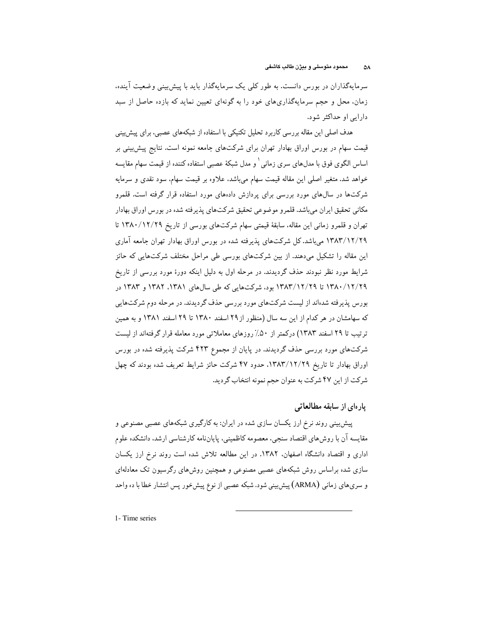سرمایهگذاران در بورس دانست. به طور کلبی یک سرمایهگذار باید با پیش بینبی وضعیت آینده. زمان، محل و حجم سرمایهگذاریهای خود را به گونهای تعیین نماید که بازده حاصل از سبد دارایی او حداکثر شود.

هدف اصلی این مقاله بررسی کاربرد تحلیل تکنیکی با استفاده از شبکههای عصبی، برای پیش بینی قیمت سهام در بورس اوراق بهادار تهران برای شرکتهای جامعه نمونه است. نتایج پیش بینی بر اساس الگوی فوق با مدلهای سری زمانی` و مدل شبکهٔ عصبی استفاده کننده از قیمت سهام مقایسه خواهد شد. متغیر اصلی این مقاله قیمت سهام میباشد. علاوه بر قیمت سهام. سود نقدی و سرمایه شرکتها در سالهای مورد بررسی برای پردازش دادههای مورد استفاده قرار گرفته است. قلمرو مکانی تحقیق ایران میباشد. قلمرو موضوعی تحقیق شرکتهای پذیرفته شده در بورس اوراق بهادار تهران و قلمرو زمانی این مقاله، سابقهٔ قیمتی سهام شرکتهای بورسی از تاریخ ۱۳۸۰/۱۲/۲۹ تا ۱۳۸۳/۱۲/۲۹ می باشد. کل شرکتهای پذیرفته شده در بورس اوراق بهادار تهران جامعه آماری این مقاله را تشکیل میدهند. از بین شرکتهای بورسی طی مراحل مختلف شرکتهایی که حائز شرایط مورد نظر نبودند حذف گردیدند. در مرحله اول به دلیل اینکه دورهٔ مورد بررسی از تاریخ ۱۳۸۰/۱۲/۲۹ تا ۱۳۸۳/۱۲/۲۹ بود، شرکتهایی که طی سالهای ۱۳۸۱. ۱۳۸۲ و ۱۳۸۳ در بورس پذیرفته شدهاند از لیست شرکتهای مورد بررسی حذف گردیدند. در مرحله دوم شرکتهایی که سهامشان در هر کدام از این سه سال (منظور از ۲۹ اسفند ۱۳۸۰ تا ۲۹ اسفند ۱۳۸۱ و به همین ترتیب تا ۲۹ اسفند ۱۳۸۳) درکمتر از ۵۰٪ روزهای معاملاتی مورد معامله قرار گرفتهاند از لیست شرکتهای مورد بررسی حذف گردیدند. در پایان از مجموع ۴۲۳ شرکت پذیرفته شده در بورس اوراق بهادار تا تاریخ ۱۳۸۳/۱۲/۲۹، حدود ۴۷ شرکت حائز شرایط تعریف شده بودند که چهل شرکت از این ۴۷ شرکت به عنوان حجم نمونه انتخاب گردید.

# یار ہای از سابقه مطالعاتی

پیش بینی روند نرخ ارز یکسان سازی شده در ایران: به کارگیری شبکههای عصبی مصنوعی و مقایسه آن با روش،های اقتصاد سنجی، معصومه کاظمینی، پایاننامه کارشناسی ارشد. دانشکده علوم اداری و اقتصاد دانشگاه اصفهان، ۱۳۸۲. در این مطالعه تلاش شده است روند نرخ ارز یکسان سازی شده براساس روش شبکههای عصبی مصنوعی و همچنین روش،های رگرسیون تک معادلهای و سرىهاى زمانى (ARMA) پيشبينى شود. شبكه عصبى از نوع پيش خور پس انتشار خطا با ده واحد

1- Time series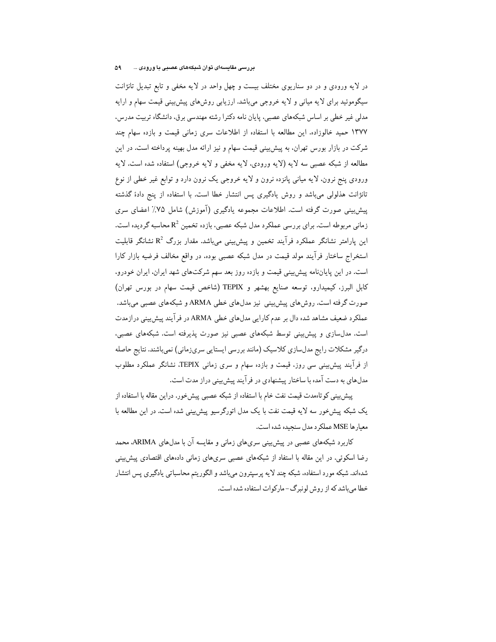در لایه ورودی و در دو سناریوی مختلف بیست و چهل واحد در لایه مخفی و تابع تبدیل تانژانت سیگوموئید برای لایه میانی و لایه خروجی میباشد. ارزیابی روش های پیش بینی قیمت سهام و ارایه مدلی غیر خطی بر اساس شبکههای عصبی، پایان نامه دکترا رشته مهندسی برق، دانشگاه تربیت مدرس، ١٣٧٧ حميد خالوزاده. اين مطالعه با استفاده از اطلاعات سرى زمانى قيمت و بازده سهام چند شرکت در بازار بورس تهران، به پیش بینی قیمت سهام و نیز ارائه مدل بهینه پرداخته است. در این مطالعه از شبکه عصبی سه لایه (لایه ورودی، لایه مخفی و لایه خروجی) استفاده شده است. لایه ورودي پنج نرون، لايه مياني پانزده نرون و لايه خروجي يک نرون دارد و توابع غير خطي از نوع تانژانت هذلولی می،باشد و روش یادگیری پس انتشار خطا است. با استفاده از پنج دادهٔ گذشته پیش بینی صورت گرفته است. اطلاعات مجموعه یادگیری (آموزش) شامل ۷۵٪ اعضای سری زمانی مربوطه است. برای بررسی عملکرد مدل شبکه عصبی، بازده تخمین  $\mathrm{R}^2$  محاسبه گردیده است. این پارامتر نشانگر عملکرد فرآیند تخمین و پیش بینی میباشد. مقدار بزرگ  $\mathrm{R}^2$  نشانگر قابلیت استخراج ساختار فرآیند مولد قیمت در مدل شبکه عصبی بوده. در واقع مخالف فرضیه بازار کارا است. در این پایاننامه پیش بینی قیمت و بازده روز بعد سهم شرکتهای شهد ایران، ایران خودرو، كابل البرز، كيميدارو، توسعه صنايع بهشهر و TEPIX (شاخص قيمت سهام در بورس تهران) صورت گرفته است. روشهای پیش بینی نیز مدلهای خطی ARMA و شبکههای عصبی می باشد. عملکرد ضعیف مشاهد شده دال بر عدم کارایی مدلهای خطی ARMA در فرآیند پیش بینی درازمدت است. مدلسازی و پیش بینی توسط شبکههای عصبی نیز صورت پذیرفته است. شبکههای عصبی، درگیر مشکلات رایج مدلسازی کلاسیک (مانند بررسی ایستایی سریزمانی) نمیباشند. نتایج حاصله از فرآیند پیش بینی سی روز، قیمت و بازده سهام و سری زمانی TEPIX، نشانگر عملکرد مطلوب مدلهای به دست آمده با ساختار پیشنهادی در فرآیند پیش بینی دراز مدت است.

پیش بینی کوتاهمدت قیمت نفت خام با استفاده از شبکه عصبی پیش خور. دراین مقاله با استفاده از یک شبکه پیشخور سه لایه قیمت نفت با یک مدل اتورگرسیو پیش بینی شده است. در این مطالعه با معبار ها MSE عملکر د مدل سنحیده شده است.

کاربرد شبکههای عصبی در پیش بینی سریهای زمانی و مقایسه آن با مدلهای ARIMA، محمد رضا اسکوئی. در این مقاله با استفاد از شبکههای عصبی سریهای زمانی دادههای اقتصادی پیش بینی شدهاند. شبکه مورد استفاده، شبکه چند لایه پرسپترون میباشد و الگوریتم محاسباتی یادگیری پس انتشار خطا می باشد که از روش لونبرگ-مارکوات استفاده شده است.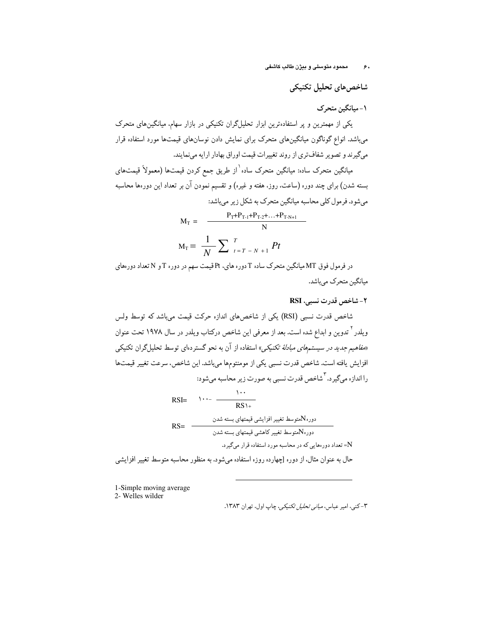شاخصهاي تحليل تكنيكي

١- ميانگين متحرک

یکی از مهمترین و پر استفادهترین ابزار تحلیلگران تکنیکی در بازار سهام، میانگینهای متحرک میباشد. انواع گوناگون میانگینهای متحرک برای نمایش دادن نوسانهای قیمتها مورد استفاده قرار میگیرند و تصویر شفافتری از روند تغییرات قیمت اوراق بهادار ارایه مینمایند.

میانگین متحرک ساده: میانگین متحرک ساده`از طریق جمع کردن قیمتها (معمولاً قیمتهای بسته شدن) برای چند دوره (ساعت، روز، هفته و غیره) و تقسیم نمودن آن بر تعداد این دورهها محاسبه مي شود. فرمول كلي محاسبه ميانگين متحرک به شکل زير مي باشد:

$$
M_{T} = \frac{P_{T} + P_{T-1} + P_{T-2} + \dots + P_{T-N+1}}{N}
$$

$$
M_{T} = \frac{1}{N} \sum_{t=T-N+1}^{T} Pt
$$

در فرمول فوق MT میانگین متحرک ساده T دوره های، Pt قیمت سهم در دوره T و N تعداد دورههای میانگین متحرک میباشد.

۲- شاخص قدرت نسبی، RSI

1-Simple moving average 2- Welles wilder

۳-کنی، امیر عباس، *مبانی تحلیل تکنیکی*، چاپ اول، تهران ۱۳۸۳.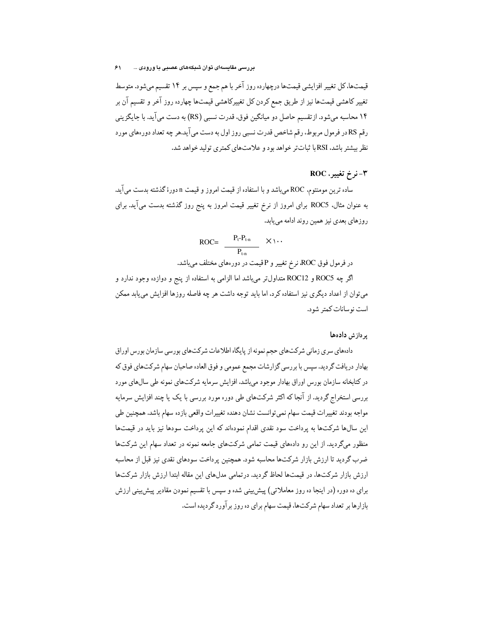قیمتها،کل تغییر افزایشی قیمتها درچهارده روز آخر با هم جمع و سپس بر ۱۴ تقسیم میشود. متوسط تغییر کاهشی قیمتها نیز از طریق جمع کردن کل تغییرکاهشی قیمتها چهارده روز آخر و تقسیم آن بر ۱۴ محاسبه میشود. از تقسیم حاصل دو میانگین فوق، قدرت نسبی (RS) به دست میآید. با جایگزینی رقم RSدر فرمول مربوط، رقم شاخص قدرت نسبی روز اول به دست می آید.هر چه تعداد دور.های مورد نظر بیشتر باشد، RSI با ثباتتر خواهد بود و علامتهای کمتری تولید خواهد شد.

#### ٣-نرخ تغيير، ROC

ساده ترین مومنتوم، ROC می باشد و با استفاده از قیمت امروز و قیمت n دورهٔ گذشته بدست می آید. به عنوان مثال، ROC5 براى امروز از نرخ تغيير قيمت امروز به پنج روز گذشته بدست مى آيد. براى روزهای بعدی نیز همین روند ادامه می یابد.

$$
\text{ROC} = \frac{P_t - P_{t-n}}{P_{t-n}} \quad \times \setminus \cdots
$$

در فرمول فوق ROC، نرخ تغییر و Pقیمت در دورههای مختلف میباشد.

اگر چه ROC5 و ROC12 متداولتر میباشد اما الزامی به استفاده از پنج و دوازده وجود ندارد و میتوان از اعداد دیگری نیز استفاده کرد، اما باید توجه داشت هر چه فاصله روزها افزایش می یابد ممکن است نو سانات کمتر شود.

#### یر دازش دادهها

دادههای سری زمانی شرکتهای حجم نمونه از پایگاه اطلاعات شرکتهای بورسی سازمان بورس اوراق بهادار دریافت گردید. سپس با بررسی گزارشات مجمع عمومی و فوق العاده صاحبان سهام شرکتهای فوق که در کتابخانه سازمان بورس اوراق بهادار موجود میباشد. افزایش سرمایه شرکتهای نمونه طی سالءای مورد بررسی استخراج گردید. از آنجا که اکثر شرکتهای طی دوره مورد بررسی با یک یا چند افزایش سرمایه مواجه بودند تغییرات قیمت سهام نمیتوانست نشان دهنده تغییرات واقعی بازده سهام باشد. همچنین طی این سال@ شرکتها به پرداخت سود نقدی اقدام نمودهاند که این پرداخت سودها نیز باید در قیمتها منظور میگردید. از این رو دادههای قیمت تمامی شرکتهای جامعه نمونه در تعداد سهام این شرکتها ضرب گردید تا ارزش بازار شرکتها محاسبه شود. همچنین پرداخت سودهای نقدی نیز قبل از محاسبه ارزش بازار شرکتها، در قیمتها لحاظ گردید. درتمامی مدلهای این مقاله ابتدا ارزش بازار شرکتها برای ده دوره (در اینجا ده روز معاملاتی) پیش بینی شده و سپس با تقسیم نمودن مقادیر پیش بینی ارزش بازارها بر تعداد سهام شرکتها، قیمت سهام برای ده روز برآورد گردیده است.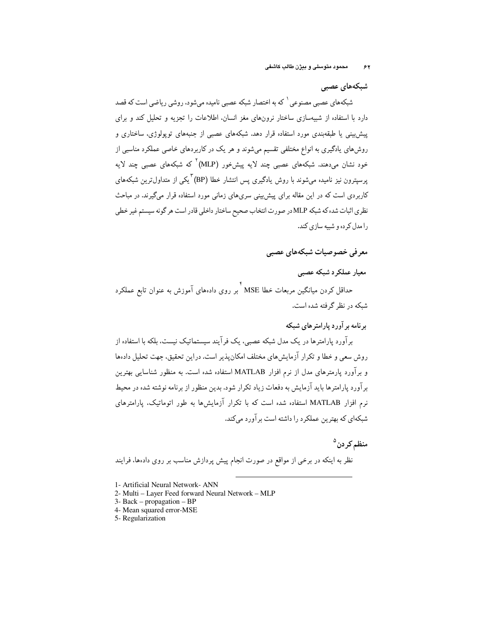شبکههای عصبی

شبکههای عصبی مصنوعی <sup>۱</sup> که به اختصار شبکه عصبی نامیده میشود، روشی ریاضی است که قصد دارد با استفاده از شبیهسازی ساختار نرونهای مغز انسان، اطلاعات را تجزیه و تحلیل کند و برای پیش بینی یا طبقهبندی مورد استفاده قرار دهد. شبکههای عصبی از جنبههای توپولوژی، ساختاری و روشهای یادگیری به انواع مختلفی تقسیم میشوند و هر یک در کاربردهای خاصی عملکرد مناسبی از خود نشان میدهند. شبکههای عصبی چند لایه پیشخور (MLP)<sup>۲</sup> که شبکههای عصبی چند لایه پرسپترون نیز نامیده میشوند با روش یادگیری پس انتشار خطا (BP) "یکم از متداول ترین شبکههای کاربردی است که در این مقاله برای پیش بینی سریهای زمانی مورد استفاده قرار میگیرند. در مباحث نظري اثبات شده كه شبكه MLP در صورت انتخاب صحيح ساختار داخلي قادر است هر گونه سيستم غير خطي را مدل کر ده و شبیه سازی کند.

معر في خصوصيات شبكههاي عصبي

معيار عملكرد شبكه عصبى

حداقل کردن میانگین مربعات خطا MSE کبر روی دادههای آموزش به عنوان تابع عملکرد شبکه در نظر گرفته شده است.

بر نامه بر آورد پارامتر های شبکه

برآورد پارامترها در یک مدل شبکه عصبی، یک فرآیند سیستماتیک نیست، بلکه با استفاده از روش سعی و خطا و تکرار آزمایش های مختلف امکان پذیر است. دراین تحقیق، جهت تحلیل دادها و برآورد پارمترهای مدل از نرم افزار MATLAB استفاده شده است. به منظور شناسایی بهترین برآورد پارامترها باید آزمایش به دفعات زیاد تکرار شود. بدین منظور از برنامه نوشته شده در محیط نه م افزار MATLAB استفاده شده است که با تکرار آزمایشها به طور اتوماتیک، پارامترهای شبکهای که بهترین عملکرد را داشته است برآورد میکند.

منظم كردن<sup>٥</sup>

نظر به اینکه در برخی از مواقع در صورت انجام پیش پردازش مناسب بر روی دادها، فرایند

- 2- Multi Layer Feed forward Neural Network MLP
- $3 Back propagation BP$
- 4- Mean squared error-MSE
- 5- Regularization

<sup>1-</sup> Artificial Neural Network- ANN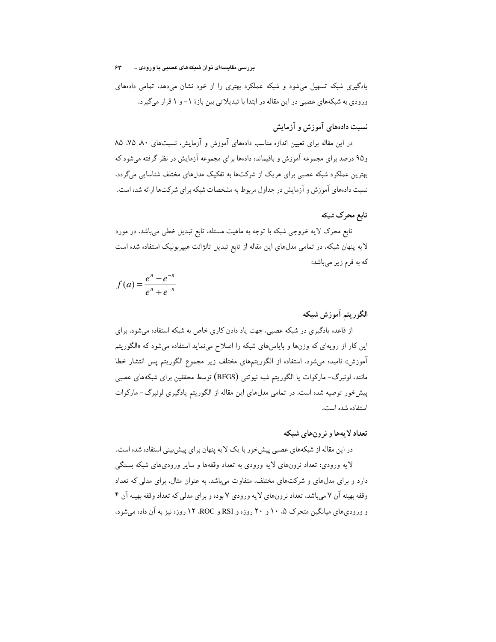بررسی مقایسەای توان شبکەهای عصبی با ورودی ... ۶۳

یادگیری شبکه تسهیل میشود و شبکه عملکرد بهتری را از خود نشان میدهد، تمامی دادههای ورودی به شبکههای عصبی در این مقاله در ابتدا با تبدیلاتی بین بازهٔ ۱- و ۱ قرار میگیرد.

نسبت دادههای آموزش و آزمایش

در این مقاله برای تعیین اندازه مناسب دادههای آموزش و آزمایش، نسبتهای ۸۰ ۷۵ ۸۵ و۹۵ درصد برای مجموعه آموزش و باقیمانده دادهها برای مجموعه آزمایش در نظر گرفته میشود که بهترین عملکرد شبکه عصبی برای هریک از شرکتها به تفکیک مدلهای مختلف شناسایی میگردد. نسبت دادهعای آموزش و آزمایش در جداول مربوط به مشخصات شبکه برای شرکتها ارائه شده است.

# تابع محرک شبکه

تابع محرک لایه خروجی شبکه با توجه به ماهیت مسئله، تابع تبدیل خطی میباشد. در مورد لایه پنهان شبکه، در تمامی مدلهای این مقاله از تابع تبدیل تانژانت هیپربولیک استفاده شده است كه به فرم زير مىباشد:

$$
f(a) = \frac{e^{n} - e^{-n}}{e^{n} + e^{-n}}
$$

### الگوريتم آموزش شبكه

از قاعده یادگیری در شبکه عصبی، جهت یاد دادن کاری خاص به شبکه استفاده می شود. برای این کار از رویهای که وزنها و بایاسهای شبکه را اصلاح می $\mathrm{d}$ ید استفاده میشود که «الگوریتم آموزش» نامیده میشود. استفاده از الگوریتمهای مختلف زیر مجموع الگوریتم پس انتشار خطا مانند. لونبرگ- مارکوات یا الگوریتم شبه نیوتنی (BFGS) توسط محققین برای شبکههای عصبی پیشخور توصیه شده است. در تمامی مدلهای این مقاله از الگوریتم یادگیری لونبرگ- مارکوات استفاده شده است.

#### تعداد لا بهها و نر ونهای شبکه

در این مقاله از شبکههای عصبی پیش خور با یک لایه پنهان برای پیش بینی استفاده شده است. لایه ورودی: تعداد نرونهای لایه ورودی به تعداد وقفهها و سایر ورودیهای شبکه بستگی دارد و برای مدلهای و شرکتهای مختلف، متفاوت میباشد. به عنوان مثال، برای مدلی که تعداد وقفه بهینه آن ۷ می باشد، تعداد نرونهای لایه ورودی ۷ بوده و برای مدلی که تعداد وقفه بهینه آن ۴ و ورودی های میانگین متحرک ۵، ۱۰ و ۲۰ روزه و RSI و ROC، ۱۲ روزه نیز به آن داده میشود.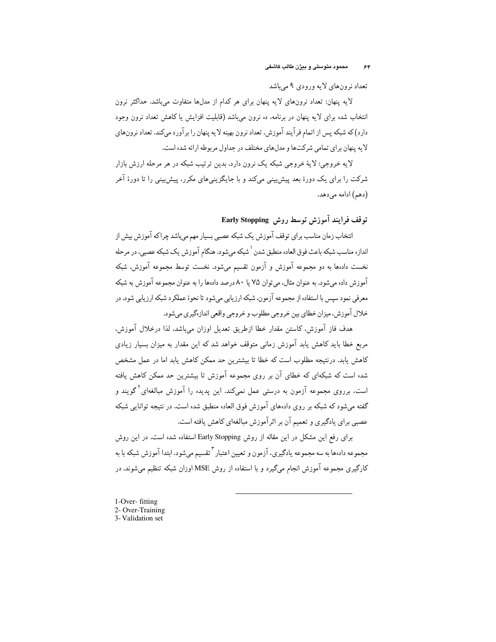تعداد نرونهای لایه ورودی ۹ میباشد

لایه پنهان: تعداد نرونهای لایه پنهان برای هر کدام از مدلها متفاوت میباشد. حداکثر نرون انتخاب شده برای لایه پنهان در برنامه، ده نرون می باشد (قابلیت افزایش یا کاهش تعداد نرون وجود دارد) که شبکه پس از اتمام فرآیند آموزش، تعداد نرون بهینه لایه پنهان را برآورد میکند. تعداد نرونهای لایه پنهان برای تمامی شرکتها و مدلهای مختلف در جداول مربوطه ارائه شده است.

لايه خروجي: لايهٔ خروجي شبکه يک نرون دارد. بدين ترتيب شبکه در هر مرحله ارزش بازار شرکت را برای یک دورهٔ بعد پیش بینی میکند و با جایگزینی های مکرر، پیش بینی را تا دورهٔ آخر (دهم) ادامه می دهد.

# توقف فرايند آموزش توسط روش Early Stopping

انتخاب زمان مناسب براي توقف آموزش يک شبکه عصبي بسيار مهم ميباشد چراکه آموزش بيش از اندازه مناسب شبکه باعث فوق العاده منطبق شدن <sup>۱</sup> شبکه می شود. هنگام آموزش یک شبکه عصبی، در مرحله نخست دادهها به دو مجموعه آموزش و آزمون تقسیم میشود. نخست توسط مجموعه آموزش، شبکه آموزش داده می شود. به عنوان مثال، می توان ۷۵ با ۸۰ درصد دادها را به عنوان محموعه آموزش به شبکه معرفي نمود سپس با استفاده از مجموعه آزمون. شبكه ارزيابي ميشود تا نحوۀ عملكرد شبكه ارزيابي شود. در خلال آموزش، ميزان خطاي بين خروجي مطلوب و خروجي واقعي اندازهگيري مي شود.

هدف فاز آموزش، كاستن مقدار خطا ازطريق تعديل اوزان مىباشد، لذا درخلال آموزش، مربع خطا باید کاهش یابد آموزش زمانی متوقف خواهد شد که این مقدار به میزان بسیار زیادی کاهش یابد. درنتیجه مطلوب است که خطا تا بیشترین حد ممکن کاهش یابد اما در عمل مشخص شده است که شبکهای که خطای آن بر روی مجموعه آموزش تا بیشترین حد ممکن کاهش یافته است. برروی مجموعه آزمون به درستی عمل نمیکند. این پدیده را آموزش مبالغهای<sup>۲</sup>گویند و گفته می شود که شبکه بر روی دادههای آموزش فوق العاده منطبق شده است. در نتیجه توانایی شبکه عصبی برای یادگیری و تعمیم آن بر اثرآموزش مبالغهای کاهش یافته است.

برای رفع این مشکل در این مقاله از روش Early Stopping استفاده شده است. در این روش مجموعه دادها به سه مجموعه يادگيري، آزمون و تعيين اعتبار <sup>٦</sup>تقسيم مي شود. ابتدا آموزش شبكه با به کارگیری مجموعه آموزش انجام میگیرد و با استفاده از روش MSE اوزان شبکه تنظیم میشوند. در

1-Over-fitting 2- Over-Training 3-Validation set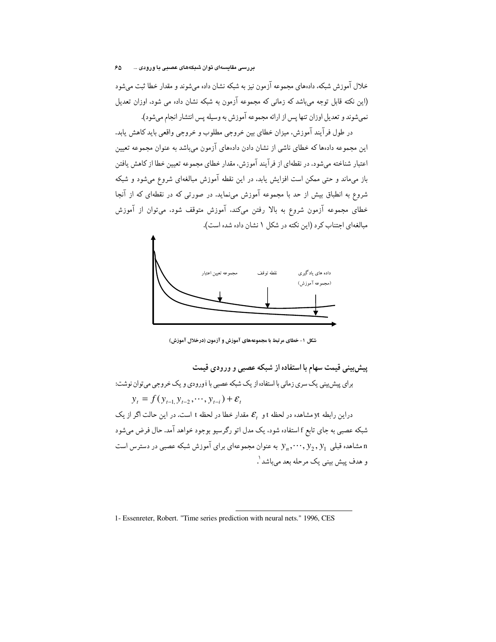خلال آموزش شبکه، دادههای مجموعه آزمون نیز به شبکه نشان داده می شوند و مقدار خطا ثبت می شود (این نکته قابل توجه میباشد که زمانی که مجموعه آزمون به شبکه نشان داده می شود. اوزان تعدیل نمي شوند و تعديل اوزان تنها پس از ارائه مجموعه آموزش به وسيله پس انتشار انجام مي شود).

در طول فرآیند آموزش، میزان خطای بین خروجی مطلوب و خروجی واقعی باید کاهش یابد. این مجموعه دادهها که خطای ناشی از نشان دادن دادههای آزمون میباشد به عنوان مجموعه تعیین اعتبار شناخته میشود. در نقطهای از فرآیند آموزش، مقدار خطای مجموعه تعیین خطا از کاهش یافتن باز می،ماند و حتی ممکن است افزایش یابد. در این نقطه آموزش مبالغهای شروع میشود و شبکه شروع به انطباق بیش از حد با مجموعه آموزش می;ماید. در صورتی که در نقطهای که از آنجا خطای مجموعه آزمون شروع به بالا رفتن میکند. آموزش متوقف شود. میتوان از آموزش مبالغهای احتناب کرد (این نکته در شکل ۱ نشان داده شده است).



شکل ۱- خطای مرتبط با مجموعههای آموزش و آزمون (درخلال آموزش)

پیش بینی قیمت سهام با استفاده از شبکه عصبی و ورودی قیمت برای پیش پینی یک سری زمانی با استفاده از یک شبکه عصبی با i ورودی و یک خروجی می توان نوشت:  $y_t = f(y_{t-1}, y_{t-2}, \dots, y_{t-i}) + \varepsilon_t$ دراین رابطه yt مشاهده در لحظه t و  $\mathcal{E}_t$  مقدار خطا در لحظه t است. در این حالت اگر از یک شبکه عصبی به جای تابع f استفاده شود، یک مدل اتو رگرسیو بوجود خواهد آمد. حال فرض میشود مشاهده قبلی  $y_1, y_2, y_3, \ldots, y_n$  به عنوان مجموعهای برای آموزش شبکه عصبی در دسترس است و هدف پیش بینی یک مرحله بعد میباشد '.

<sup>1-</sup> Essenreter, Robert. "Time series prediction with neural nets." 1996, CES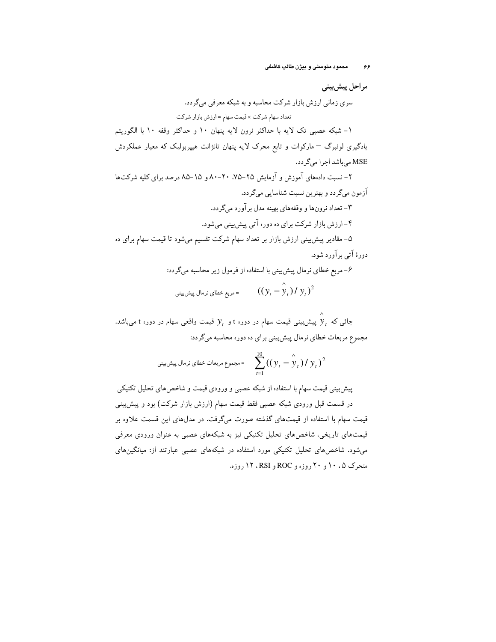مراحل پيش بيني سری زمانی ارزش بازار شرکت محاسبه و به شبکه معرفی میگردد. تعداد سهام شركت × قيمت سهام = ارزش بازار شركت ١- شبكه عصبي تك لايه با حداكثر نرون لايه ينهان ١٠ و حداكثر وقفه ١٠ با الكوريتم یادگیری لونبرگ <sup>—</sup> مارکوات و تابع محرک لایه پنهان تانژانت هیپربولیک که معیار عملکردش MSE می باشد اجرا می گردد. ۲- نسبت دادههای آموزش و آزمایش ۲۵-۲۵، ۲۰-۸۰ و ۱۵-۸۵ درصد برای کلیه شرکتها آزمون مىگردد و بهترين نسبت شناسايى مىگردد. ۳- تعداد نرونها و وقفههای بهینه مدل برآورد میگردد. ۴- ارزش بازار شرکت برای ده دوره آتی پیش بینی می شود. ۵– مقادیر پیشبینی ارزش بازار بر تعداد سهام شرکت تقسیم میشود تا قیمت سهام برای ده دورۂ آتی برآورد شود. ۶- مربع خطای نرمال پیشبینی با استفاده از فرمول زیر محاسبه میگردد: مربع خطاي نرمال پيش.يني  $((y^{}_{t}-\overset{\wedge }{y}_{t})/|y^{}_{t})^{2}$ 

جائبی که  $y_t$  پیش بینبی قیمت سهام در دوره t و  $y_t$  قیمت واقعی سهام در دوره t می باشد. مجموع مربعات خطای نرمال پیش بینی برای ده دوره محاسبه میگردد:

$$
= \sum_{t=1}^{10} ((y_t - \overset{\wedge}{y}_t)/y_t)^2
$$
و جموع مربعات خطای نرمال پیشیینی

پیش بینی قیمت سهام با استفاده از شبکه عصبی و ورودی قیمت و شاخص های تحلیل تکنیکی در قسمت قبل ورودی شبکه عصبی فقط قیمت سهام (ارزش بازار شرکت) بود و پیش پینی قیمت سهام با استفاده از قیمتهای گذشته صورت میگرفت. در مدلهای این قسمت علاوه بر قیمتهای تاریخی، شاخصهای تحلیل تکنیکی نیز به شبکههای عصبی به عنوان ورودی معرفی میشود. شاخصهای تحلیل تکنیکی مورد استفاده در شبکههای عصبی عبارتند از: میانگینهای متحرک ۰،۵ ۱۰ و ۲۰ روزه و ROC و RSI ، ۱۲ روزه.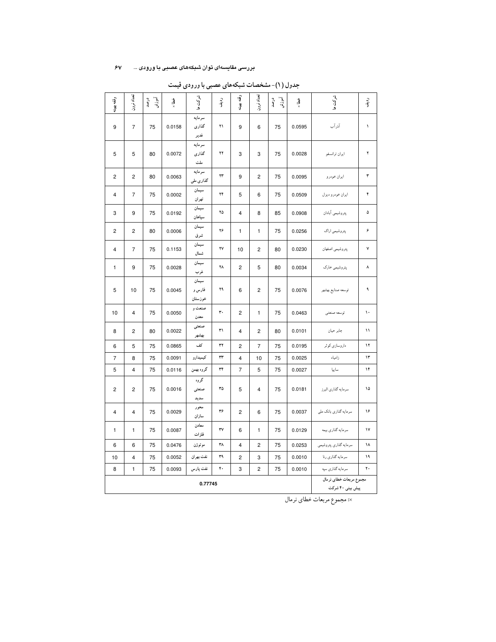#### بررسی مقایسهای توان شبکههای عصبی با ورودی ... ۶۷

| وقفه بهينه     | تعداد نرون              | آموزش<br>درصد | رُضا<br>× | شرکت ها                    | ردية.        | وقفه بهينه     | تعداد نرون     | آموزش<br>درصد | رن<br>× | شركت ها                                     | ردن.<br>آل |
|----------------|-------------------------|---------------|-----------|----------------------------|--------------|----------------|----------------|---------------|---------|---------------------------------------------|------------|
| 9              | $\overline{7}$          | 75            | 0.0158    | سرمايه<br>گذاری<br>غدير    | ۲۱           | 9              | 6              | 75            | 0.0595  | آذرآب                                       | ١          |
| 5              | 5                       | 80            | 0.0072    | سرمايه<br>گذاری<br>ملت     | ۲۲           | 3              | 3              | 75            | 0.0028  | ايران ترانسفو                               | ۲          |
| $\overline{c}$ | $\overline{c}$          | 80            | 0.0063    | سرمايه<br>گذاری ملی        | ۲۳           | 9              | $\overline{c}$ | 75            | 0.0095  | ايران خودرو                                 | ٣          |
| 4              | $\overline{7}$          | 75            | 0.0002    | سيمان<br>تهران             | ۲۴           | 5              | 6              | 75            | 0.0509  | ايران خودرو ديزل                            | ۴          |
| 3              | 9                       | 75            | 0.0192    | سيمان<br>سپاهان            | ۲۵           | $\overline{4}$ | 8              | 85            | 0.0908  | پتروشيمي آبادان                             | ۵          |
| 2              | $\overline{2}$          | 80            | 0.0006    | سيمان<br>شرق               | ۲۶           | $\mathbf{1}$   | $\mathbf{1}$   | 75            | 0.0256  | پتروشیمی اراک                               | ۶          |
| 4              | $\overline{7}$          | 75            | 0.1153    | سيمان<br>شمال              | ۲٧           | 10             | 2              | 80            | 0.0230  | پتروشيمي اصفهان                             | ٧          |
| 1              | 9                       | 75            | 0.0028    | سيمان<br>غرب               | ۲٨           | $\overline{c}$ | 5              | 80            | 0.0034  | پتروشیمی خارک                               | ٨          |
| 5              | 10                      | 75            | 0.0045    | سيمان<br>فارس و<br>خوزستان | ۲۹           | 6              | $\overline{c}$ | 75            | 0.0076  | توسعه صنايع بهشهر                           | ٩          |
| 10             | $\overline{4}$          | 75            | 0.0050    | صنعت و<br>معدن             | ٣.           | $\overline{c}$ | $\mathbf{1}$   | 75            | 0.0463  | توسعه صنعتي                                 | ١.         |
| 8              | $\overline{c}$          | 80            | 0.0022    | صنعتى<br>بهشهر             | ٣١           | $\overline{4}$ | $\overline{c}$ | 80            | 0.0101  | جابر حيان                                   | ۱۱         |
| 6              | 5                       | 75            | 0.0865    | كف                         | $\mathbf{r}$ | $\overline{2}$ | $\overline{7}$ | 75            | 0.0195  | داروسازی کوثر                               | ۱۲         |
| $\overline{7}$ | 8                       | 75            | 0.0091    | كيميدارو                   | ٣٣           | 4              | 10             | 75            | 0.0025  | زامياد                                      | ۱۳         |
| 5              | $\overline{\mathbf{4}}$ | 75            | 0.0116    | گروه بهمن                  | ٣۴           | $\overline{7}$ | 5              | 75            | 0.0027  | ساييا                                       | ۱۴         |
| $\overline{c}$ | $\overline{c}$          | 75            | 0.0016    | گروه<br>صنعتى<br>سديد      | ٣۵           | 5              | 4              | 75            | 0.0181  | سرمايه گذاري البرز                          | ۱۵         |
| 4              | $\overline{4}$          | 75            | 0.0029    | محور<br>سازان              | ٣۶           | $\overline{c}$ | 6              | 75            | 0.0037  | سرمایه گذاری بانک ملی                       | ۱۶         |
| 1              | $\mathbf{1}$            | 75            | 0.0087    | معادن<br>فلزات             | ٣٧           | 6              | 1              | 75            | 0.0129  | سرمایه گذاری بیمه                           | ۱۷         |
| 6              | 6                       | 75            | 0.0476    | موتوژن                     | ٣٨           | $\overline{4}$ | $\overline{2}$ | 75            | 0.0253  | سرمايه گذارى پتروشيمي                       | ۱۸         |
| 10             | $\pmb{4}$               | 75            | 0.0052    | نفت بهران                  | ٣٩           | $\overline{c}$ | 3              | 75            | 0.0010  | سرمايه گذاري رنا                            | ۱۹         |
| 8              | $\mathbf{1}$            | 75            | 0.0093    | نفت پارس                   | ۴٠           | 3              | $\overline{c}$ | 75            | 0.0010  | سرمايه گذاري سپه                            | ٢٠         |
|                |                         |               |           | 0.77745                    |              |                |                |               |         | مجموع مربعات خطاي نرمال<br>پیش بینی ۴۰ شرکت |            |

جدول (۱)- مشخصات شبکههای عصبی با ورودی قیمت

×: مجموع مربعات خطاي نرمال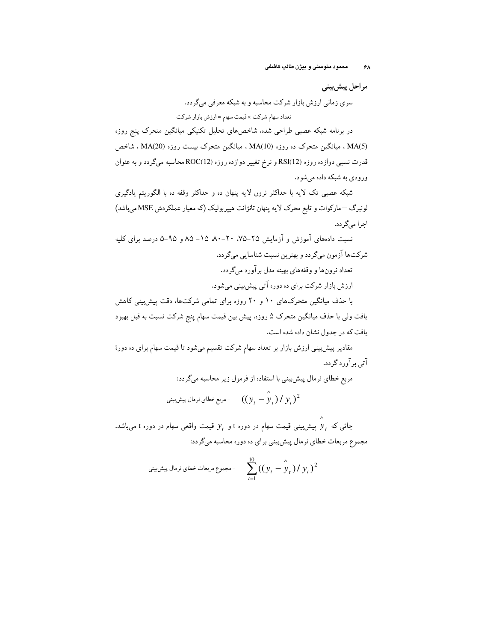مراحل پيش بيني سری زمانی ارزش بازار شرکت محاسبه و به شبکه معرفی میگردد. تعداد سهام شرکت × قیمت سهام = ارزش بازار شرکت

در برنامه شبکه عصبی طراحی شده. شاخصهای تحلیل تکنیکی میانگین متحرک پنج روزه MA(5) . میانگین متحرک ده روزه (MA(10 ، میانگین متحرک بیست روزه (MA(20 ، شاخص قدرت نسبی دوازده روزه (RSI(12 و نرخ تغییر دوازده روزه (ROC(12 محاسبه میگردد و به عنوان ورودی به شبکه داده می شود.

شبکه عصبی تک لایه با حداکثر نرون لایه پنهان ده و حداکثر وقفه ده با الگوریتم یادگیری لونبرگ <sup>—</sup>مارکوات و تابع محرک لایه پنهان تانژانت هیپربولیک (که معیار عملکردش MSE میباشد) اجرا مي گردد.

نسبت دادههای آموزش و آزمایش ۲۵–۷۵ ۲۰-۸۰ ۱۵–۸۵ و ۹۵–۵ درصد برای کلیه شرکتها آزمون مىگردد و بهترين نسبت شناسايي مىگردد. تعداد نرونها و وقفههای بهینه مدل برآورد میگردد. ارزش بازار شرکت برای ده دوره آتی پیش بینی می شود. با حذف میانگین متحرکهای ۱۰ و ۲۰ روزه برای تمامی شرکتها، دقت پیش بینی کاهش

یافت ولی با حذف میانگین متحرک ۵ روزه، پیش بین قیمت سهام پنج شرکت نسبت به قبل بهبود یافت که در جدول نشان داده شده است.

مقادیر پیش بینی ارزش بازار بر تعداد سهام شرکت تقسیم میشود تا قیمت سهام برای ده دورهٔ آتي ٻر آور د گر دد.

یع خطای نرمال پیش بینی با استفاده از فرمول زیر محاسبه میگردد:  
میع خطای نرمال پیش بینی  
4 
$$
((y_t - \hat{y}_t) / y_t)^2
$$

جائی که  $y_t$  پیش بینی قیمت سهام در دوره t و  $y_t$  قیمت واقعی سهام در دوره t میباشد. مجموع مربعات خطاي نرمال پيش بيني براي ده دوره محاسبه مي گردد:

$$
= \sum_{t=1}^{10} ((y_t - \hat{y}_t) / y_t)^2
$$
و جموع مربعات خطای نرمال پیشیینی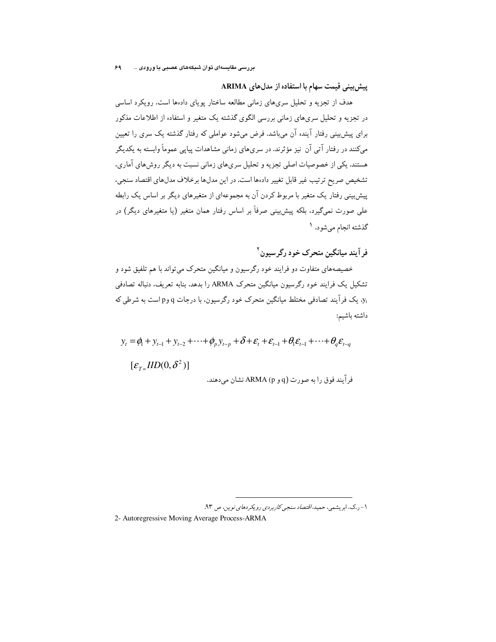ییش بینی قیمت سهام با استفاده از مدل های ARIMA

هدف از تجزیه و تحلیل سریهای زمانی مطالعه ساختار یوپای دادها است. رویکرد اساسی در تجزیه و تحلیل سریهای زمانی بررسی الگوی گذشته یک متغیر و استفاده از اطلاعات مذکور برای پیش بینی رفتار آینده آن میباشد. فرض میشود عواملی که رفتار گذشته یک سری را تعیین میکنند در رفتار آتی آن نیز مؤثرند. در سریهای زمانی مشاهدات پیاپی عموماً وابسته به یکدیگر هستند. یکی از خصوصیات اصلی تجزیه و تحلیل سریهای زمانی نسبت به دیگر روش های آماری، تشخيص صريح ترتيب غير قابل تغيير دادهها است. در اين مدلها برخلاف مدلهاي اقتصاد سنجي، پیش بینی رفتار یک متغیر با مربوط کردن آن به مجموعهای از متغیرهای دیگر بر اساس یک رابطه علمی صورت نمیگیرد، بلکه پیش بینی صرفاً بر اساس رفتار همان متغیر (یا متغیرهای دیگر) در گذشته انجام ميشود. ا

فر آيند ميانگين متحرک خود رگر سيون <sup>۲</sup>

خصیصههای متفاوت دو فرایند خود رگرسیون و میانگین متحرک میتواند با هم تلفیق شود و تشکیل یک فرایند خود رگرسیون میانگین متحرک ARMA را بدهد. بنابه تعریف، دنباله تصادفی .<br>y. یک فرآیند تصادفی مختلط میانگین متحرک خود رگرسیون، با درجات q وp است به شرطی که داشته باشيم:

$$
y_{t} = \phi_{1} + y_{t-1} + y_{t-2} + \cdots + \phi_{p} y_{t-p} + \delta + \varepsilon_{t} + \varepsilon_{t-1} + \theta_{1} \varepsilon_{t-1} + \cdots + \theta_{q} \varepsilon_{t-q}
$$
  

$$
[\varepsilon_{T} \times IID(0, \delta^{2})]
$$
  

$$
i \text{ARMA (p, q)}
$$

۱- ر.ک. ابریشمی، حمید، *اقتصاد سنجی کاربردی رویکردهای نوین*، ص ۹۳.

2- Autoregressive Moving Average Process-ARMA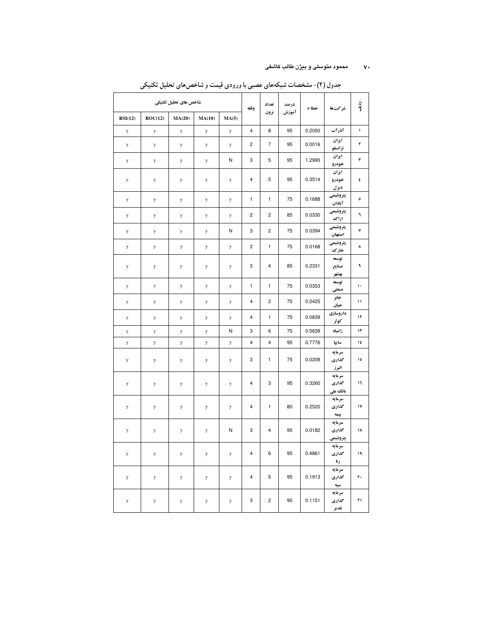#### ۷۰ محمود متوسلی و بیژن طالب کاشفی

|             | شاخص های تحلیل تکنیکی |        | وقفه        | تعداد        | درصد                    | خطا *                   | شركتها | رو.<br>اف |                              |              |
|-------------|-----------------------|--------|-------------|--------------|-------------------------|-------------------------|--------|-----------|------------------------------|--------------|
| RSI(12)     | ROC(12)               | MA(20) | MA(10)      | MA(5)        |                         | نرون                    | آموزش  |           |                              |              |
| y           | ${\bf y}$             | y      | $\mathbf y$ | y            | $\overline{\mathbf{4}}$ | 8                       | 95     | 0.2050    | آذرآب                        | $\mathbf{I}$ |
| y           | y                     | y      | y           | ${\bf y}$    | $\overline{c}$          | $\overline{7}$          | 95     | 0.0016    | ايران<br>ترانسفو             | ۲            |
| ${\bf y}$   | y                     | y      | y           | N            | 3                       | 5                       | 95     | 1.2995    | ايران<br>خودرو               | ۳            |
| $\mathbf y$ | y                     | y      | $\mathbf y$ | y            | $\overline{4}$          | 5                       | 95     | 0.3514    | ايران<br>خودرو<br>ديزل       | ٤            |
| y           | $\mathbf y$           | y      | $\mathbf y$ | ${\bf y}$    | $\mathbf{1}$            | $\mathbf{1}$            | 75     | 0.1688    | پتروشیمی<br>آبادان           | ۰            |
| y           | $\mathbf y$           | y      | $\mathbf y$ | y            | $\overline{c}$          | $\overline{c}$          | 85     | 0.0330    | يتروشيمي<br>اراك             | ٦            |
| y           | y                     | y      | y           | N            | 3                       | $\overline{c}$          | 75     | 0.0394    | پتروشیمی<br>اصفهان           | ٧            |
| y           | y                     | y      | y           | y            | $\overline{c}$          | $\mathbf{1}$            | 75     | 0.0168    | پتروشیمی<br>خارك             | ٨            |
| y           | y                     | y      | y           | y            | 3                       | $\overline{\mathbf{4}}$ | 85     | 0.2331    | توسعه<br>صنايع<br>بهشهر      | ٩            |
| y           | y                     | y      | y           | y            | $\mathbf{1}$            | $\mathbf{1}$            | 75     | 0.0353    | توسعه<br>صنعتي               | $\mathbf{L}$ |
| y           | y                     | y      | $\mathbf y$ | y            | 4                       | $\overline{2}$          | 75     | 0.2425    | جابر<br>حيان                 | $\mathbf{1}$ |
| y           | $\mathbf y$           | y      | $\mathbf y$ | y            | 4                       | $\mathbf{1}$            | 75     | 0.0839    | داروسازى<br>كوثر             | ۱۲           |
| y           | y                     | y      | y           | $\mathsf{N}$ | 3                       | 6                       | 75     | 0.5639    | زامياد                       | ۱۳           |
| y           | y                     | y      | y           | y            | 4                       | $\overline{\mathbf{4}}$ | 95     | 0.7776    | ساييا                        | ١٤           |
| y           | $\mathbf y$           | y      | $\mathbf y$ | y            | 3                       | $\mathbf{1}$            | 75     | 0.0208    | سرمايه<br>گذاری<br>البرز     | 10           |
| y           | y                     | y      | y           | y            | 4                       | 3                       | 95     | 0.3260    | سرمايه<br>گذاری<br>باتک ملی  | ١٦           |
| y           | y                     | y      | y           | y            | 4                       | $\mathbf{1}$            | 80     | 0.2520    | سرمايه<br>گذاری<br>بيمه      | ١٧           |
| y           | y                     | y      | y           | N            | 3                       | $\overline{4}$          | 95     | 0.0182    | سرمايه<br>محذارى<br>پتروشیمی | ۱۸           |
| y           | y                     | y      | y           | y            | $\overline{4}$          | 6                       | 95     | 0.4861    | سرمايه<br>گذاری<br>رنا       | $\mathbf{1}$ |
| y           | y                     | y      | y           | y            | $\overline{4}$          | 5                       | 95     | 0.1913    | سرمايه<br>گذاری<br>سپه       | ٢.           |
| y           | $\mathbf y$           | y      | y           | y            | 3                       | $\overline{2}$          | 95     | 0.1151    | سرمايه<br>محذارى<br>غدير     | ٢١           |

جدول (۲)- مشخصات شبکههای عصبی با ورودی قیمت و شاخص های تحلیل تکنیکی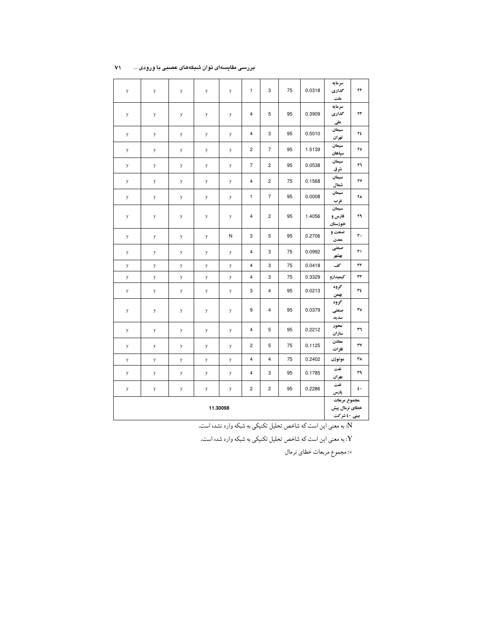| سرمايه<br>3<br>1<br>75<br>0.0318<br>گذاری<br>٢٢<br>y<br>y<br>y<br>y<br>y<br>ملت<br>سرمايه<br>$\overline{4}$<br>5<br>95<br>گذاری<br>٣٣<br>0.3909<br>y<br>у<br>у<br>y<br>y<br>ملي<br>سيمان<br>3<br>95<br>0.5010<br>4<br>٢٤<br>y<br>y<br>y<br>y<br>y<br>تهران<br>سيمان<br>$\overline{7}$<br>95<br>1.5139<br>٢٥<br>y<br>y<br>2<br>y<br>y<br>y<br>سياهان<br>سيمان<br>$\overline{7}$<br>$\overline{c}$<br>٣٦<br>95<br>0.0538<br>у<br>у<br>у<br>y<br>y<br>شرق<br>سيمان<br>$\overline{c}$<br>75<br>0.1568<br>٢٧<br>4<br>y<br>y<br>y<br>y<br>y<br>شمال<br>سيمان<br>$\overline{7}$<br>$\mathbf{1}$<br>95<br>0.0008<br>۲۸<br>y<br>y<br>y<br>y<br>y<br>غرب<br>سيمان<br>$\overline{c}$<br>٣٩<br>4<br>95<br>1.4056<br>فارس و<br>y<br>y<br>y<br>y<br>y<br>خوزستان<br>صنعت و<br>٣.<br>3<br>5<br>95<br>0.2706<br>N<br>y<br>y<br>y<br>y<br>معدن<br>صنعتي<br>3<br>75<br>0.0992<br>4<br>٣١<br>y<br>y<br>y<br>y<br>y<br>بهشهر<br>3<br>75<br>0.0418<br>كف<br>$\mathsf{r}\mathsf{r}$<br>$\overline{4}$<br>y<br>y<br>y<br>y<br>y<br>3<br>75<br>$\overline{4}$<br>0.3329<br>كيميدارو<br>rr<br>y<br>y<br>y<br>y<br>y<br>گروه<br>٣٤<br>$\overline{4}$<br>3<br>95<br>0.0213<br>y<br>y<br>y<br>y<br>y<br>بهمن<br>گروه<br>95<br>0.0379<br>٣٥<br>9<br>$\overline{4}$<br>y<br>y<br>y<br>y<br>y<br>صنعتي<br>سديد<br>محور<br>4<br>5<br>95<br>0.2212<br>٣٦<br>y<br>y<br>y<br>y<br>y<br>سازان<br>معادن<br>5<br>75<br>$\mathsf{r}\mathsf{v}$<br>2<br>0.1125<br>y<br>y<br>y<br>y<br>y<br>فلزات<br>75<br>٣٨<br>$\overline{4}$<br>0.2402<br>4<br>موتوژن<br>y<br>y<br>y<br>y<br>y<br>نفت<br>$\overline{4}$<br>3<br>95<br>٣٩<br>0.1785<br>y<br>y<br>y<br>y<br>y<br>بهران<br>نفت<br>2<br>$\overline{\mathbf{c}}$<br>95<br>0.2286<br>٤.<br>y<br>у<br>y<br>у<br>y<br>پارس<br>مجموع مربعات<br>11.30098<br>خطاي نرمال پيش<br>بینی ٤٠ شرکت |  |  |  |  |  |  |  |  |  |  |
|--------------------------------------------------------------------------------------------------------------------------------------------------------------------------------------------------------------------------------------------------------------------------------------------------------------------------------------------------------------------------------------------------------------------------------------------------------------------------------------------------------------------------------------------------------------------------------------------------------------------------------------------------------------------------------------------------------------------------------------------------------------------------------------------------------------------------------------------------------------------------------------------------------------------------------------------------------------------------------------------------------------------------------------------------------------------------------------------------------------------------------------------------------------------------------------------------------------------------------------------------------------------------------------------------------------------------------------------------------------------------------------------------------------------------------------------------------------------------------------------------------------------------------------------------------------------------------------------------------------------------------------------------------------------------------------------------------------------------------------------------------------------------------------------|--|--|--|--|--|--|--|--|--|--|
|                                                                                                                                                                                                                                                                                                                                                                                                                                                                                                                                                                                                                                                                                                                                                                                                                                                                                                                                                                                                                                                                                                                                                                                                                                                                                                                                                                                                                                                                                                                                                                                                                                                                                                                                                                                            |  |  |  |  |  |  |  |  |  |  |
|                                                                                                                                                                                                                                                                                                                                                                                                                                                                                                                                                                                                                                                                                                                                                                                                                                                                                                                                                                                                                                                                                                                                                                                                                                                                                                                                                                                                                                                                                                                                                                                                                                                                                                                                                                                            |  |  |  |  |  |  |  |  |  |  |
|                                                                                                                                                                                                                                                                                                                                                                                                                                                                                                                                                                                                                                                                                                                                                                                                                                                                                                                                                                                                                                                                                                                                                                                                                                                                                                                                                                                                                                                                                                                                                                                                                                                                                                                                                                                            |  |  |  |  |  |  |  |  |  |  |
|                                                                                                                                                                                                                                                                                                                                                                                                                                                                                                                                                                                                                                                                                                                                                                                                                                                                                                                                                                                                                                                                                                                                                                                                                                                                                                                                                                                                                                                                                                                                                                                                                                                                                                                                                                                            |  |  |  |  |  |  |  |  |  |  |
|                                                                                                                                                                                                                                                                                                                                                                                                                                                                                                                                                                                                                                                                                                                                                                                                                                                                                                                                                                                                                                                                                                                                                                                                                                                                                                                                                                                                                                                                                                                                                                                                                                                                                                                                                                                            |  |  |  |  |  |  |  |  |  |  |
|                                                                                                                                                                                                                                                                                                                                                                                                                                                                                                                                                                                                                                                                                                                                                                                                                                                                                                                                                                                                                                                                                                                                                                                                                                                                                                                                                                                                                                                                                                                                                                                                                                                                                                                                                                                            |  |  |  |  |  |  |  |  |  |  |
|                                                                                                                                                                                                                                                                                                                                                                                                                                                                                                                                                                                                                                                                                                                                                                                                                                                                                                                                                                                                                                                                                                                                                                                                                                                                                                                                                                                                                                                                                                                                                                                                                                                                                                                                                                                            |  |  |  |  |  |  |  |  |  |  |
|                                                                                                                                                                                                                                                                                                                                                                                                                                                                                                                                                                                                                                                                                                                                                                                                                                                                                                                                                                                                                                                                                                                                                                                                                                                                                                                                                                                                                                                                                                                                                                                                                                                                                                                                                                                            |  |  |  |  |  |  |  |  |  |  |
|                                                                                                                                                                                                                                                                                                                                                                                                                                                                                                                                                                                                                                                                                                                                                                                                                                                                                                                                                                                                                                                                                                                                                                                                                                                                                                                                                                                                                                                                                                                                                                                                                                                                                                                                                                                            |  |  |  |  |  |  |  |  |  |  |
|                                                                                                                                                                                                                                                                                                                                                                                                                                                                                                                                                                                                                                                                                                                                                                                                                                                                                                                                                                                                                                                                                                                                                                                                                                                                                                                                                                                                                                                                                                                                                                                                                                                                                                                                                                                            |  |  |  |  |  |  |  |  |  |  |
|                                                                                                                                                                                                                                                                                                                                                                                                                                                                                                                                                                                                                                                                                                                                                                                                                                                                                                                                                                                                                                                                                                                                                                                                                                                                                                                                                                                                                                                                                                                                                                                                                                                                                                                                                                                            |  |  |  |  |  |  |  |  |  |  |
|                                                                                                                                                                                                                                                                                                                                                                                                                                                                                                                                                                                                                                                                                                                                                                                                                                                                                                                                                                                                                                                                                                                                                                                                                                                                                                                                                                                                                                                                                                                                                                                                                                                                                                                                                                                            |  |  |  |  |  |  |  |  |  |  |
|                                                                                                                                                                                                                                                                                                                                                                                                                                                                                                                                                                                                                                                                                                                                                                                                                                                                                                                                                                                                                                                                                                                                                                                                                                                                                                                                                                                                                                                                                                                                                                                                                                                                                                                                                                                            |  |  |  |  |  |  |  |  |  |  |
|                                                                                                                                                                                                                                                                                                                                                                                                                                                                                                                                                                                                                                                                                                                                                                                                                                                                                                                                                                                                                                                                                                                                                                                                                                                                                                                                                                                                                                                                                                                                                                                                                                                                                                                                                                                            |  |  |  |  |  |  |  |  |  |  |
|                                                                                                                                                                                                                                                                                                                                                                                                                                                                                                                                                                                                                                                                                                                                                                                                                                                                                                                                                                                                                                                                                                                                                                                                                                                                                                                                                                                                                                                                                                                                                                                                                                                                                                                                                                                            |  |  |  |  |  |  |  |  |  |  |
|                                                                                                                                                                                                                                                                                                                                                                                                                                                                                                                                                                                                                                                                                                                                                                                                                                                                                                                                                                                                                                                                                                                                                                                                                                                                                                                                                                                                                                                                                                                                                                                                                                                                                                                                                                                            |  |  |  |  |  |  |  |  |  |  |
|                                                                                                                                                                                                                                                                                                                                                                                                                                                                                                                                                                                                                                                                                                                                                                                                                                                                                                                                                                                                                                                                                                                                                                                                                                                                                                                                                                                                                                                                                                                                                                                                                                                                                                                                                                                            |  |  |  |  |  |  |  |  |  |  |
|                                                                                                                                                                                                                                                                                                                                                                                                                                                                                                                                                                                                                                                                                                                                                                                                                                                                                                                                                                                                                                                                                                                                                                                                                                                                                                                                                                                                                                                                                                                                                                                                                                                                                                                                                                                            |  |  |  |  |  |  |  |  |  |  |
|                                                                                                                                                                                                                                                                                                                                                                                                                                                                                                                                                                                                                                                                                                                                                                                                                                                                                                                                                                                                                                                                                                                                                                                                                                                                                                                                                                                                                                                                                                                                                                                                                                                                                                                                                                                            |  |  |  |  |  |  |  |  |  |  |
|                                                                                                                                                                                                                                                                                                                                                                                                                                                                                                                                                                                                                                                                                                                                                                                                                                                                                                                                                                                                                                                                                                                                                                                                                                                                                                                                                                                                                                                                                                                                                                                                                                                                                                                                                                                            |  |  |  |  |  |  |  |  |  |  |

#### بررسی مقایسهای توان شبکههای عصبی با ورودی ... ۷۱

N: به معنى اين است كه شاخص تحليل تكنيكي به شبكه وارد نشده است.

.<br>Y: به معنى اين است كه شاخص تحليل تكنيكي به شبكه وارد شده است.

×: مجموع مربعات خطاي نرمال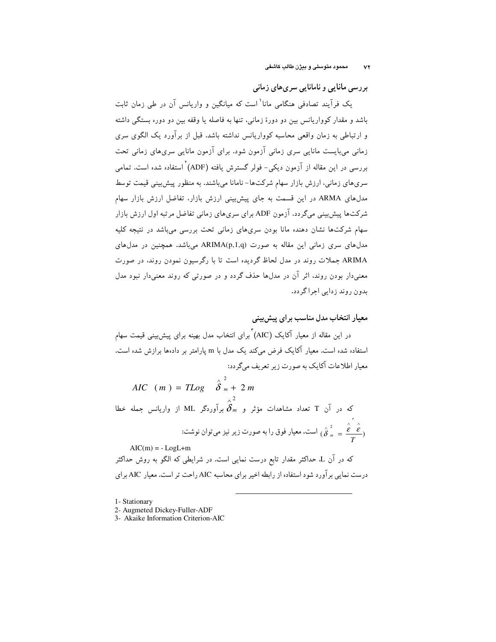بررسی مانایی و نامانایی سری های زمانی

یک فرآیند تصادفی هنگامی مانا<sup>\</sup> است که میانگین و واریانس آن در طی زمان ثابت باشد و مقدار کوواریانس بین دو دورهٔ زمانبی، تنها به فاصله یا وقفه بین دو دوره بستگی داشته و ارتباطی به زمان واقعی محاسبه کوواریانس نداشته باشد. قبل از بر آورد یک الگوی سری زمانی می،بایست مانایی سری زمانی آزمون شود. برای آزمون مانایی سری،های زمانی تحت بررسی در این مقاله از آزمون دیکی- فولر گسترش یافته (ADF) استفاده شده است. تمامی سری های زمانی، ارزش بازار سهام شرکت ها- نامانا میباشند. به منظور پیش بینی قیمت توسط مدلهای ARMA در این قسمت به جای پیشبینی ارزش بازار، تفاضل ارزش بازار سهام شرکتها پیش بینی میگردد. آزمون ADF برای سریهای زمانی تفاضل مرتبه اول ارزش بازار سهام شرکتها نشان دهنده مانا بودن سریهای زمانی تحت بررسی میباشد در نتیجه کلیه مدلهای سری زمانی این مقاله به صورت ARIMA(p,1,q) میباشد. همچنین در مدلهای ARIMA جملات روند در مدل لحاظ گردیده است تا با رگرسیون نمودن روند. در صورت معنیدار بودن روند. اثر آن در مدلها حذف گردد و در صورتی که روند معنیدار نبود مدل بدون روند زدایی اجراگردد.

معیار انتخاب مدل مناسب برای پیش بینی

در این مقاله از معیار آکایک (AIC) ٌبرای انتخاب مدل بهینه برای پیش،بینی قیمت سهام استفاده شده است. معیار آکایک فرض میکند یک مدل با m پارامتر بر دادهها برازش شده است. معیار اطلاعات آکایک به صورت زیر تعریف میگردد:

AIC  $(m) = TLog \hat{\delta}_m^2 + 2m$ 

که در آن T تعداد مشاهدات مؤثر و  $\overbrace{\delta_m}^2$  برآوردگر ML از واریانس جمله خطا  $^2$ است. معیار فوق را به صورت زیر نیز میتوان نوشت:  $(\stackrel{\frown}{\delta}_m = \frac{\stackrel{\frown}{\epsilon}_\ell}{\pi})$ 

 $AIC(m) = -LogL+m$ که در آن L، حداکثر مقدار تابع درست نمایبی است. در شرایطی که الگو به روش حداکثر درست نمایی برآورد شود استفاده از رابطه اخیر برای محاسبه AIC راحت تر است. معیار AIC برای

1- Stationary

<sup>2-</sup> Augmeted Dickey-Fuller-ADF

<sup>3-</sup> Akaike Information Criterion-AIC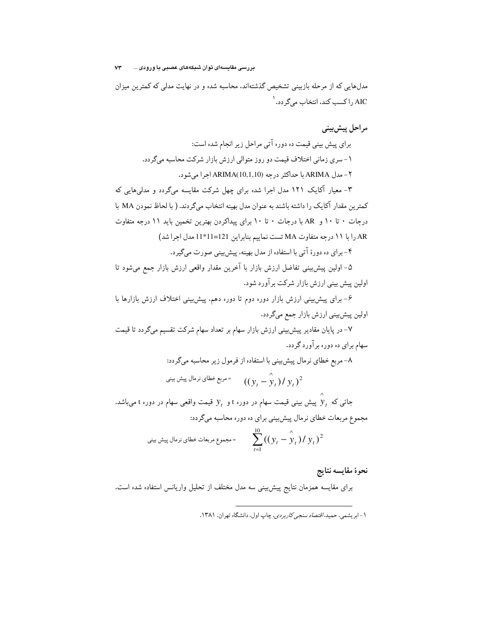بررسی مقایسەای توان شبکەھای عصبی با ورودی ...  $v\tau$ 

مدلهایی که از مرحله بازبینی تشخیص گذشتهاند، محاسبه شده و در نهایت مدلی که کمترین میزان AIC را کسب کند، انتخاب میگر دد. <sup>۱</sup>

مراحل پیش بینی

برای پیش بینی قیمت ده دوره آتی مراحل زیر انجام شده است: ۱- سری زمانی اختلاف قیمت دو روز متوالی ارزش بازار شرکت محاسبه میگردد. ٢- مدل ARIMA با حداكثر درجه (ARIMA(10,1,10 اجرا مي شود.

۳- معیار آکایک ۱۲۱ مدل اجرا شده برای چهل شرکت مقایسه میگردد و مدلیهایی که کمترین مقدار آکایک را داشته باشند به عنوان مدل بهینه انتخاب میگردند. ( با لحاظ نمودن MA با درجات • تا ١٠ و AR با درجات • تا ١٠ براى پيداكردن بهترين تخمين بايد ١١ درجه متفاوت AR را با ١١ درجه متفاوت MA تست نماييم بنابراين 121=11\*11 مدل اجرا شد)

۴-برای ده دورهٔ آتی با استفاده از مدل بهینه، پیش بینی صورت میگیرد.

۵– اولین پیش،پینی تفاضل ارزش بازار با آخرین مقدار واقعی ارزش بازار جمع میشود تا اولین پیش بینی ارزش بازار شرکت برآورد شود.

۶– برای پیش بینی ارزش بازار دوره دوم تا دوره دهم، پیش بینی اختلاف ارزش بازارها با اولین پیش بینی ارزش بازار جمع میگردد.

۷- در پایان مقادیر پیش بینی ارزش بازار سهام بر تعداد سهام شرکت تقسیم میگردد تا قیمت سهام برای ده دوره برآورد گردد.

A– مربع خطای نرمال پیشبینی با استفاده از فرمول زیر معاسبه میگردد:  
\n
$$
(y_t - \hat{y}_t) / y_t)^2
$$
\n= مربع خطای نرمال پیش بینی  
\nجائی که  $\hat{y}_t$  پیش بینی قیمت سهام در دوره 1 و  $\hat{y}_t$  قیمت واقعی سهام در دوره 1 میباشد  
\nمجموع مربعات خطای نرمال پیشبینی برای ده دوره معاسبه میگردد:  
10

$$
\sum_{t=1}^{10} ((y_t - \hat{y}_t) / y_t)^2
$$
 = 
$$
\sum_{t=1}^{10} ((y_t - \hat{y}_t) / y_t)^2
$$

نحوة مقايسه نتايج

برای مقایسه همزمان نتایج پیش بینی سه مدل مختلف از تحلیل واریانس استفاده شده است.

۱- ابریشمی، حمید، *اقتصاد سنجی کاربردی*، چاپ اول، دانشگاه تهران، ۱۳۸۱.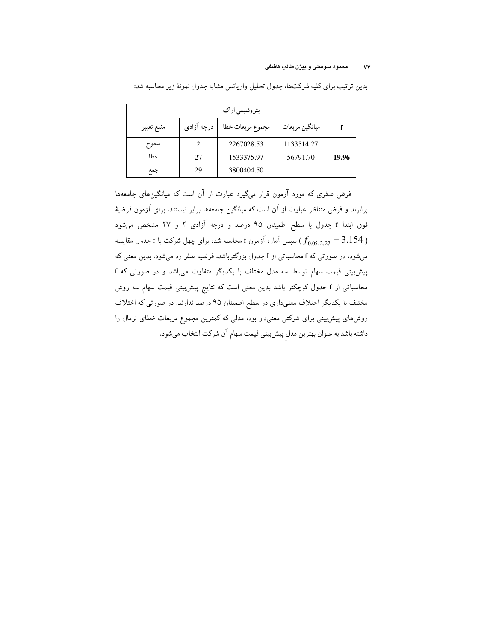#### محمود متوسلي و بيژن طالب كاشفي  $\mathsf{v}\mathsf{v}$

| پتروشیمی اراک |            |                  |                |       |  |  |  |  |  |
|---------------|------------|------------------|----------------|-------|--|--|--|--|--|
| منبع تغيير    | درجه آزادی | مجموع مربعات خطا | ميانگين مربعات |       |  |  |  |  |  |
| سطوح          |            | 2267028.53       | 1133514.27     |       |  |  |  |  |  |
| خطا           | 27         | 1533375.97       | 56791.70       | 19.96 |  |  |  |  |  |
| جمع           | 29         | 3800404.50       |                |       |  |  |  |  |  |

بدین ترتیب برای کلیه شرکتها، جدول تحلیل واریانس مشابه جدول نمونهٔ زیر محاسبه شد:

فرض صفری که مورد آزمون قرار میگیرد عبارت از آن است که میانگین های جامعهها برابرند و فرض متناظر عبارت از آن است که میانگین جامعهها برابر نیستند. برای آزمون فرضیهٔ فوق ابتدا f جدول با سطح اطمینان ۹۵ درصد و درجه آزادی ۲ و ۲۷ مشخص میشود سیس آماره آزمون f معاسبه شده برای چهل شرکت با f جدول مقایسه  $(f_{0.05.2.27} = 3.154$  ) میشود، در صورتی که f محاسباتی از f جدول بزرگترباشد، فرضیه صفر رد میشود، بدین معنی که پیشبینی قیمت سهام توسط سه مدل مختلف با یکدیگر متفاوت میباشد و در صورتی که f محاسباتی از f جدول کوچکتر باشد بدین معنی است که نتایج پیش بینی قیمت سهام سه روش مختلف با یکدیگر اختلاف معنیداری در سطح اطمینان ۹۵ درصد ندارند. در صورتی که اختلاف روشهای پیشبینی برای شرکتی معنیدار بود، مدلی که کمترین مجموع مربعات خطای نرمال را داشته باشد به عنوان بهترين مدل پيشبيني قيمت سهام آن شركت انتخاب ميشود.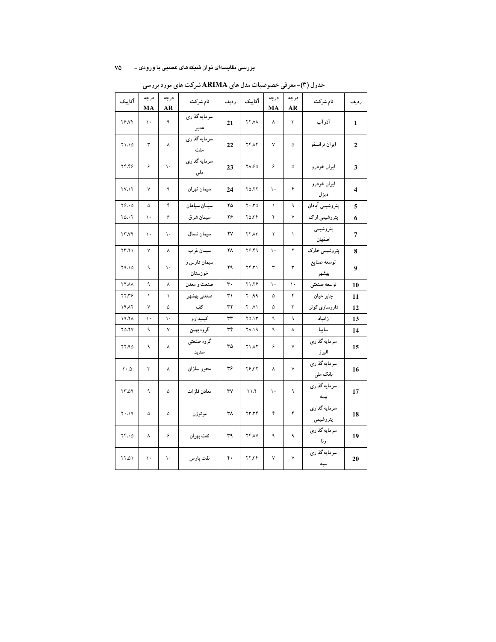#### بررسی مقایسهای توان شبکههای عصبی با ورودی … ۷۵

| آكاييک                        | درجه<br>MA   | درجه<br>AR   | نام شركت                | رديف | آکاییک             | درجه<br>MA    | درجه<br>AR    | نام شركت                       | رديف                    |
|-------------------------------|--------------|--------------|-------------------------|------|--------------------|---------------|---------------|--------------------------------|-------------------------|
| <b>٢۶.٧۴</b>                  | ١.           | ٩            | سرمايه گذاري<br>غدير    | 21   | <b>XY.77</b>       | ٨             | ٣             | آذرآب                          | $\mathbf{1}$            |
| ۲۱.۱۵                         | ٣            | γ            | سرمايه گذارى<br>ملت     | 22   | <b>٢۴.٨۴</b>       | ٧             | ۵             | ايران ترانسفو                  | 2                       |
| 74.99                         | ۶            | ١.           | سرمايه گذاري<br>ملی     | 23   | ٢٨.۶۵              | ۶             | ۵             | ايران خودرو                    | 3                       |
| <b>٢٧.١٢</b>                  | ٧            | ٩            | سيمان تهران             | 24   | ٢٥.٢٢              | ١.            | ۴             | ايران خودرو<br>ديزل            | $\overline{\mathbf{4}}$ |
| $Y$ $\Delta$                  | ۵            | ۴            | سيمان سپاهان            | ۲۵   | $Y \cdot T \Delta$ | $\lambda$     | ٩             | پتروشیمی آبادان                | 5                       |
| $Y_0 \cdot Y$                 | ١.           | ۶            | سيمان شرق               | ۲۶   | $Y_0, Y_0$         | ۴             | ٧             | پتروشیمی اراک                  | 6                       |
| <b>٢٣.٧٩</b>                  | ١.           | ١.           | سيمان شمال              | ۲٧   | <b>٢٢.٨٣</b>       | ۲             | $\lambda$     | پتروشیمی<br>اصفهان             | $\overline{7}$          |
| ۲۳.۲۱                         | $\mathsf{v}$ | $\lambda$    | سيمان غرب               | ۲۸   | 78.99              | ١.            | ۲             | پتروشیمی خارک                  | 8                       |
| ۲۹.۱۵                         | ٩            | ١.           | سیمان فارس و<br>خوزستان | ۲۹   | Yf.Y               | ٣             | ٣             | توسعه صنايع<br>بهشهر           | 9                       |
| <b>XX.77</b>                  | ٩            | $\lambda$    | صنعت و معدن             | ٣.   | 71.79              | ١.            | $\mathcal{L}$ | توسعه صنعتى                    | 10                      |
| ٢٢.٣۶                         | $\lambda$    | $\backslash$ | صنعتي بهشهر             | ٣١   | P.P. 7             | ۵             | ۴             | جابر حيان                      | 11                      |
| 19.17                         | ٧            | ۵            | كف                      | ٣٢   | $Y \cdot .Y$       | ۵             | ٣             | داروسازی کوثر                  | 12                      |
| 19.7 <sub>A</sub>             | ١.           | ١.           | کیمیدارو                | ٣٣   | ۲۵.۱۳              | ٩             | ٩             | زامياد                         | 13                      |
| <b>70.7Y</b>                  | ٩            | $\checkmark$ | گروه بهمن               | ٣۴   | 11.19              | ٩             | γ             | ساييا                          | 14                      |
| 77.90                         | ٩            | γ            | گروه صنعتی<br>سديد      | ٣۵   | <b>٢١.٨٢</b>       | ۶             | Y             | سرمايه گذارى<br>البرز          | 15                      |
| $\mathbf{y} \cdot \mathbf{v}$ | ٣            | ٨            | محور سازان              | ٣۶   | ٢۶.٣٢              | γ             | ٧             | سرمايه گذارى<br>بانک ملی       | 16                      |
| 0.7٢                          | ٩            | ۵            | معادن فلزات             | ٣٧   | 7.17               | $\mathcal{N}$ | ٩             | سرمايه گذارى<br>ييمه           | 17                      |
| $P \wedge \cdot Y$            | ۵            | ۵            | موتوژن                  | ۳۸   | 57.77              | ۴             | ۴             | __<br>سرمايه گذاري<br>پتروشیمی | 18                      |
| $YF\cdot \Delta$              | ٨            | ۶            | نفت بهران               | ٣٩   | <b>٢۴.٨٧</b>       | ٩             | ٩             | سرمايه گذارى<br>رنا            | 19                      |
| ٥١.٢٢                         | ١.           | ١.           | نفت پارس                | ۴٠   | YY,YY              | ٧             | ٧             | سرمايه گذارى<br>سپه            | 20                      |

جدول (۳)-معرفی خصوصیات مدل های ARIMA شرکت های مورد بررسی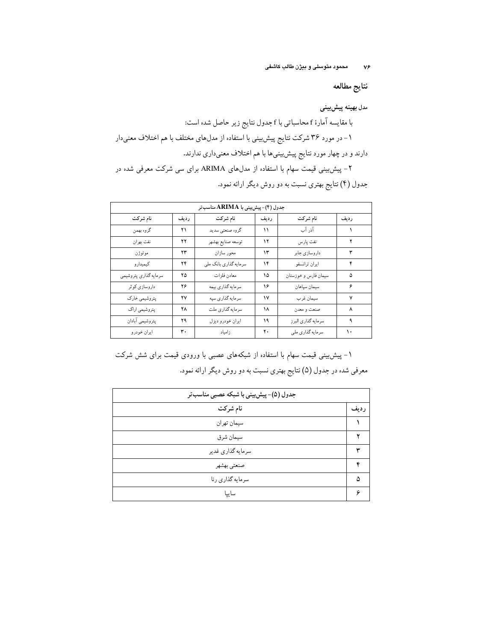محمود متوسلی و بیژن طالب کاشفی  $V^{\rho}$ 

نتايج مطالعه

مدل بهينه پيشبيني با مقایسه آمارهٔ f محاسباتی با f جدول نتایج زیر حاصل شده است: ۱- در مورد ۳۶ شرکت نتایج پیش بینی با استفاده از مدلهای مختلف با هم اختلاف معنیدار دارند و در چهار مورد نتایج پیش بینیها با هم اختلاف معنیداری ندارند. ۲- پیش بینی قیمت سهام با استفاده از مدلهای ARIMA برای سی شرکت معرفی شده در

| جدول (۴)- پیش بینی با ARIMA مناسب تر |      |                       |      |                      |      |  |  |  |  |
|--------------------------------------|------|-----------------------|------|----------------------|------|--|--|--|--|
| نام شركت                             | رديف | نام شركت              | رديف | نام شركت             | رديف |  |  |  |  |
| گروه بهمن                            | ۲۱   | گروه صنعتبي سديد      | ۱۱   | آذر آب               |      |  |  |  |  |
| نفت بهران                            | ۲۲   | توسعه صنايع بهشهر     | ۱۲   | نفت پارس             |      |  |  |  |  |
| موتوژن                               | ۲۳   | محور سازان            | ۱۳   | داروسازي جابر        | ٣    |  |  |  |  |
| كيميدارو                             | ۲۴   | سرمایه گذاری بانک ملی | ۱۴   | ايران ترانسفو        | ۴    |  |  |  |  |
| سرمايه گذاري پتروشيمي                | ۲۵   | معادن فلزات           | ۱۵   | سيمان فارس و خوزستان | ۵    |  |  |  |  |
| داروسازي كوثر                        | ۲۶   | سرمايه گذاري بيمه     | ۱۶   | سيمان سپاهان         | ۶    |  |  |  |  |
| پتروشیمی خارک                        | ۲٧   | سرمايه گذاري سپه      | ۱۷   | سيمان غرب            | ۷    |  |  |  |  |
| پتروشیمی اراک                        | ۲۸   | سرمایه گذاری ملت      | ۱۸   | صنعت و معدن          | ٨    |  |  |  |  |
| پتروشیمی آبادان                      | ۲۹   | ايران خودرو ديزل      | ۱۹   | سرمايه گذاري البرز   | ٩    |  |  |  |  |
| ايران خودرو                          | ٣٠   | زامياد                | ۲.   | سرمايه گذاري ملي     | ١.   |  |  |  |  |

جدول (۴) نتایج بهتری نسبت به دو روش دیگر ارائه نمود.

۱- پیش بینی قیمت سهام با استفاده از شبکههای عصبی با ورودی قیمت برای شش شرکت معرفي شده در جدول (۵) نتايج بهتري نسبت به دو روش ديگر ارائه نمود.

| جدول (۵)-پیش بینی با شبکه عصبی مناسب تر |      |  |  |  |  |
|-----------------------------------------|------|--|--|--|--|
| نام شركت                                | رديف |  |  |  |  |
| سيمان تهران                             |      |  |  |  |  |
| سيمان شرق                               |      |  |  |  |  |
| سرمايه گذاري غدير                       |      |  |  |  |  |
| صنعتي بهشهر                             | ¢    |  |  |  |  |
| سرمايه گذاري رنا                        | Δ    |  |  |  |  |
| سايپا                                   |      |  |  |  |  |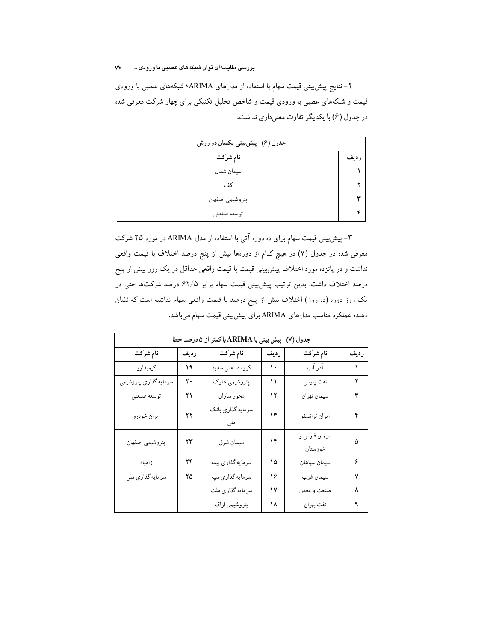۲- نتایج پیش بینی قیمت سهام با استفاده از مدلهای ARIMA٬ شبکههای عصبی با ورودی قیمت و شبکههای عصبی با ورودی قیمت و شاخص تحلیل تکنیکی برای چهار شرکت معرفی شده در جدول (۶) با یکدیگر تفاوت معنی داری نداشت.

| جدول (۶)- پیشبینی یکسان دو روش |       |  |  |  |  |
|--------------------------------|-------|--|--|--|--|
| نام شرکت                       | ر دىف |  |  |  |  |
| سيمان شمال                     |       |  |  |  |  |
| كف                             |       |  |  |  |  |
| پتروشيمي اصفهان                |       |  |  |  |  |
| توسعه صنعتي                    |       |  |  |  |  |

۳- پیش بینی قیمت سهام برای ده دوره آتی با استفاده از مدل ARIMA در مورد ۲۵ شرکت معرفی شده در جدول (۷) در هیچ کدام از دورهها بیش از پنج درصد اختلاف با قیمت واقعی نداشت و در پانزده مورد اختلاف پیش بینی قیمت با قیمت واقعی حداقل در یک روز بیش از پنج درصد اختلاف داشت. بدین ترتیب پیش بینی قیمت سهام برابر ۶۲/۵ درصد شرکتها حتی در یک روز دور. (ده روز) اختلاف بیش از پنج درصد با قیمت واقعی سهام نداشته است که نشان دهنده عملکرد مناسب مدلهای ARIMA برای پیش بینی قیمت سهام میباشد.

| جدول (٧)- پیش بینی با ARIMA با کمتر از ۵ درصد خطا |      |                          |      |                         |      |  |  |  |
|---------------------------------------------------|------|--------------------------|------|-------------------------|------|--|--|--|
| نام شركت                                          | رديف | نام شركت                 | رديف | نام شركت                | رديف |  |  |  |
| كيميدارو                                          | ۱۹   | گروه صنعتبي سديد         | ۱۰   | آذر آب                  | ١    |  |  |  |
| سرمايه گذاري پتروشيمي                             | ۲.   | پتروشیمی خارک            | ۱۱   | نفت پارس                | ۲    |  |  |  |
| توسعه صنعتي                                       | ۲۱   | محور سازان               | ۱۲   | سيمان تهران             | ٣    |  |  |  |
| ايران خودرو                                       | ۲۲   | سرمايه گذاري بانک<br>ملى | ۱۳   | ايران ترانسفو           | ۴    |  |  |  |
| پتروشيمي اصفهان                                   | ۲۳   | سيمان شرق                | ۱۴   | سيمان فارس و<br>خوزستان | ۵    |  |  |  |
| زامياد                                            | ۲۴   | سرمايه گذاري بيمه        | ۱۵   | سيمان سپاهان            | ۶    |  |  |  |
| سرمايه گذاري ملي                                  | ۲۵   | سرمايه گذاري سپه         | ۱۶   | سيمان غرب               | ٧    |  |  |  |
|                                                   |      | سرمايه گذاري ملت         | ۱۷   | صنعت و معدن             | ٨    |  |  |  |
|                                                   |      | پتروشیمی اراک            | ۱۸   | نفت بهران               | ٩    |  |  |  |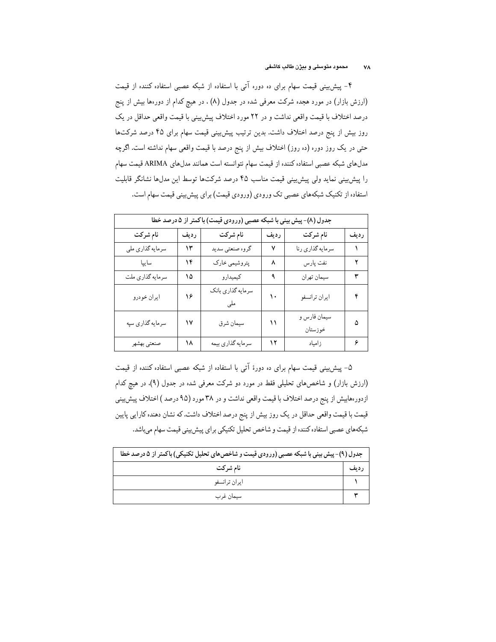۴- پیش بینی قیمت سهام برای ده دوره آتی با استفاده از شبکه عصبی استفاده کننده از قیمت (ارزش بازار) در مورد هجده شرکت معرفی شده در جدول (۸) . در هیچ کدام از دورهها بیش از پنج درصد اختلاف با قیمت واقعی نداشت و در ۲۲ مورد اختلاف پیش بینی با قیمت واقعی حداقل در یک روز بیش از پنج درصد اختلاف داشت. بدین ترتیب پیش بینی قیمت سهام برای ۴۵ درصد شرکتها حتی در یک روز دور. (ده روز) اختلاف بیش از پنج درصد با قیمت واقعی سهام نداشته است. اگرچه مدلهای شبکه عصبی استفاده کننده از قیمت سهام نتوانسته است همانند مدلهای ARIMA قیمت سهام را پیش بینی نماید ولی پیش بینی قیمت مناسب ۴۵ درصد شرکتها توسط این مدلها نشانگر قابلیت استفاده از تکنیک شبکههای عصبی تک ورودی (ورودی قیمت) برای پیش بینی قیمت سهام است.

| جدول (٨)- پیش بینی با شبکه عصبی (ورودی قیمت) با کمتر از ۵ درصد خطا |      |                   |      |                         |      |  |  |  |
|--------------------------------------------------------------------|------|-------------------|------|-------------------------|------|--|--|--|
| نام شركت                                                           | رديف | نام شركت          | رديف | نام شركت                | رديف |  |  |  |
| سرمايه گذاري ملي                                                   | ۱۳   | گروه صنعتي سديد   | ٧    | سرمايه گذاري رنا        |      |  |  |  |
| سايپا                                                              | ۱۴   | پتروشیمی خارک     | ٨    | نفت پارس                | ۲    |  |  |  |
| سرمايه گذاري ملت                                                   | ۱۵   | کیمیدارو          | ٩    | سيمان تهران             | ٣    |  |  |  |
| ايران خودرو                                                        | ۱۶   | سرمايه گذاري بانک | ۱۰   | ايران ترانسفو           | ۴    |  |  |  |
| سرمايه گذاري سپه                                                   | ۱۷   | سيمان شرق         | ۱۱   | سيمان فارس و<br>خوزستان | ۵    |  |  |  |
| صنعتي بهشهر                                                        | ۱۸   | سرمايه گذاري بيمه | ۱۲   | زامياد                  | ۶    |  |  |  |

۵– پیشبینی قیمت سهام برای ده دورهٔ آتی با استفاده از شبکه عصبی استفاده کننده از قیمت (ارزش بازار) و شاخصهای تحلیلی فقط در مورد دو شرکت معرفی شده در جدول (۹). در هیچ کدام ازدور هابیش از پنج درصد اختلاف با قیمت واقعی نداشت و در ۳۸ مورد (۹۵ درصد ) اختلاف پیش بینی قیمت با قیمت واقعی حداقل در یک روز بیش از پنج درصد اختلاف داشت. که نشان دهنده کارایی پایین شبکههای عصبی استفاده کننده از قیمت و شاخص تحلیل تکنیکی برای پیش بینی قیمت سهام میباشد.

| جدول (۹)- پیش بینی با شبکه عصبی (ورودی قیمت و شاخص های تحلیل تکنیکی) باکمتر از ۵ درصد خطا |      |  |  |  |
|-------------------------------------------------------------------------------------------|------|--|--|--|
| نام شرکت                                                                                  | رديف |  |  |  |
| ايران ترانسفو                                                                             |      |  |  |  |
| سيمان غرب                                                                                 |      |  |  |  |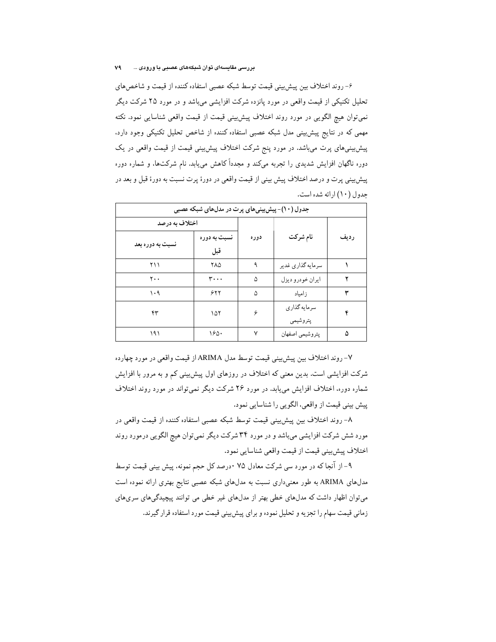۶– روند اختلاف بین پیش بینی قیمت توسط شبکه عصبی استفاده کننده از قیمت و شاخص های تحلیل تکنیکی از قیمت واقعی در مورد یانزده شرکت افزایشی میباشد و در مورد ۲۵ شرکت دیگر نمي توان هيچ الگويي در مورد روند اختلاف پيش بيني قيمت از قيمت واقعي شناسايي نمود. نكته مهمی که در نتایج پیش بینی مدل شبکه عصبی استفاده کننده از شاخص تحلیل تکنیکی وجود دارد، پیشبینیهای پرت میباشد. در مورد پنج شرکت اختلاف پیشبینی قیمت از قیمت واقعی در یک دوره ناگهان افزایش شدیدی را تجربه میکند و مجدداً کاهش می،یابد. نام شرکتها، و شماره دوره پیشبینی پرت و درصد اختلاف پیش بینی از قیمت واقعی در دورهٔ پرت نسبت به دورهٔ قبل و بعد در حدول (١٠) ا<sub>ن</sub> ائه شده است.

| جدول (۱۰)- پیش بینیهای پرت در مدلهای شبکه عصبی |              |      |                            |      |  |  |  |  |  |
|------------------------------------------------|--------------|------|----------------------------|------|--|--|--|--|--|
| اختلاف به درصد                                 |              |      |                            |      |  |  |  |  |  |
| نسبت به دوره بعد                               | نسبت به دوره | دوره | نام شركت                   | رديف |  |  |  |  |  |
|                                                | قبل          |      |                            |      |  |  |  |  |  |
| ۲۱۱                                            | ۲۸۵          | ٩    | سرمايه گذاري غدير          |      |  |  |  |  |  |
| ٢.,                                            | ۳۰۰۰         | ۵    | ايران خودرو ديزل           |      |  |  |  |  |  |
| ۱۰۹                                            | 557          | ۵    | زامياد                     |      |  |  |  |  |  |
| ۴۳                                             | ۱۵۲          | ۶    | سر مايه گذار ي<br>پتروشيمي | ۴    |  |  |  |  |  |
| ۱۹۱                                            | ۱۶۵۰         | ٧    | يتروشيمي اصفهان            | ۵    |  |  |  |  |  |

٧- روند اختلاف بين پيش بيني قيمت توسط مدل ARIMA از قيمت واقعي در مورد چهارده شرکت افزایشی است. بدین معنی که اختلاف در روزهای اول پیش بینی کم و به مرور با افزایش شماره دوره، اختلاف افزایش می،پابد. در مورد ۲۶ شرکت دیگر نمی تواند در مورد روند اختلاف پیش بینی قیمت از واقعی، الگویی را شناسایی نمود.

٨- روند اختلاف بين پيش بيني قيمت توسط شبكه عصبي استفاده كننده از قيمت واقعي در مورد شش شرکت افزایشی میباشد و در مورد ۳۴ شرکت دیگر نمیتوان هیچ الگویی درمورد روند اختلاف پيشبيني قيمت از قيمت واقعي شناسايي نمود.

۹– از آنجا که در مورد سی شرکت معادل ۷۵ ۰درصد کل حجم نمونه، پیش بینی قیمت توسط مدلهای ARIMA به طور معنیداری نسبت به مدلهای شبکه عصبی نتایج بهتری ارائه نموده است میتوان اظهار داشت که مدلهای خطی بهتر از مدلهای غیر خطی می توانند پیچیدگیهای سریهای زمانی قیمت سهام را تجزیه و تحلیل نموده و برای پیش بینی قیمت مورد استفاده قرار گیرند.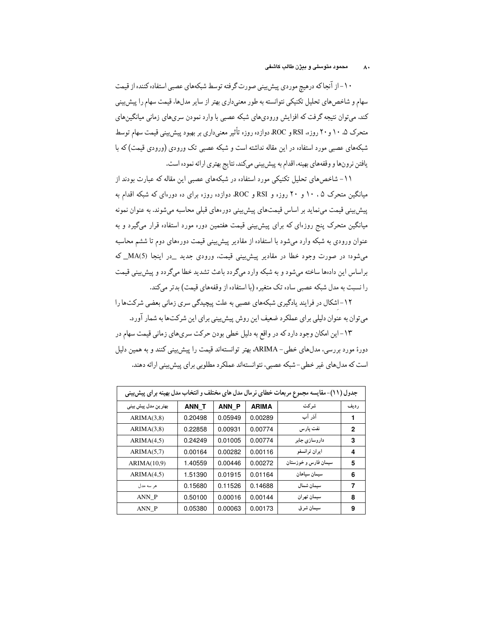۱۰-از آنجاکه درهیچ موردی پیش بینی صورت گرفته توسط شبکههای عصبی استفاده کننده از قیمت سهام و شاخصهای تحلیل تکنیکی نتوانسته به طور معنیداری بهتر از سایر مدلها، قیمت سهام را پیش بینی کند. میتوان نتیجه گرفت که افزایش ورودیهای شبکه عصبی با وارد نمودن سریهای زمانی میانگینهای متحرک ۵. ۱۰ و ۲۰ روز.. RSI و ROC دوازده روزه تأثیر معنیداری بر بهبود پیش بینی قیمت سهام توسط شبکههای عصبی مورد استفاده در این مقاله نداشته است و شبکه عصبی تک ورودی (ورودی قیمت) که با يافتن نرونها و وقفههاي بهينه، اقدام به پيش بيني ميكند، نتايج بهتري ارائه نموده است.

۱۱- شاخص های تحلیل تکنیکی مورد استفاده در شبکههای عصبی این مقاله که عبارت بودند از میانگین متحرک ۱۰،۵ و ۲۰ روزه و RSI و ROC، دوازده روزه برای ده دورهای که شبکه اقدام به پیش بینی قیمت می نماید بر اساس قیمتهای پیش بینی دور های قبلی محاسبه می شوند. به عنوان نمونه میانگین متحرک پنج روزهای که برای پیش بینی قیمت هفتمین دوره مورد استفاده قرار میگیرد و به عنوان ورودی به شبکه وارد میشود با استفاده از مقادیر پیش بینی قیمت دورههای دوم تا ششم محاسبه می شود؛ در صورت وجود خطا در مقادیر پیش بینی قیمت، ورودی جدید \_در اینجا (MA(5\_ براساس این دادها ساخته میشود و به شبکه وارد میگردد باعث تشدید خطا میگردد و پیش بینی قیمت را نسبت به مدل شبکه عصبی ساده تک متغیره (با استفاده از وقفههای قیمت) بدتر میکند.

۱۲-اشکال در فرایند یادگیری شبکههای عصبی به علت پیچیدگی سری زمانی بعضی شرکتها را می توان به عنوان دلیلی برای عملکرد ضعیف این روش پیش بینی برای این شرکتها به شمار آورد.

۱۳-این امکان وجود دارد که در واقع به دلیل خطی بودن حرکت سریهای زمانی قیمت سهام در دورهٔ مورد بررسی، مدلهای خطبی- ARIMA، بهتر توانستهاند قیمت را پیش بینی کنند و به همین دلیل است که مدلهای غیر خطی-شبکه عصبی، نتوانستهاند عملکرد مطلوبی برای پیش بینی ارائه دهند.

| جدول (١١)- مقایسه مجموع مربعات خطای نرمال مدل های مختلف و انتخاب مدل بهینه برای پیش بینی |         |              |              |                      |      |  |  |
|------------------------------------------------------------------------------------------|---------|--------------|--------------|----------------------|------|--|--|
| بهتر ين مدل پيش بيني                                                                     | ANN T   | <b>ANN P</b> | <b>ARIMA</b> | شر کت                | رديف |  |  |
| ARIMA(3,8)                                                                               | 0.20498 | 0.05949      | 0.00289      | آذر آب               | 1    |  |  |
| ARIMA(3,8)                                                                               | 0.22858 | 0.00931      | 0.00774      | نفت يارس             | 2    |  |  |
| ARIMA(4,5)                                                                               | 0.24249 | 0.01005      | 0.00774      | داروسازی جابر        | 3    |  |  |
| ARIMA(5,7)                                                                               | 0.00164 | 0.00282      | 0.00116      | ايران ترانسفو        | 4    |  |  |
| ARIMA(10,9)                                                                              | 1.40559 | 0.00446      | 0.00272      | سیمان فارس و خوزستان | 5    |  |  |
| ARIMA(4,5)                                                                               | 1.51390 | 0.01915      | 0.01164      | سيمان سياهان         | 6    |  |  |
| هر سه مدل                                                                                | 0.15680 | 0.11526      | 0.14688      | سيمان شمال           | 7    |  |  |
| ANN P                                                                                    | 0.50100 | 0.00016      | 0.00144      | سیمان تهر ان         | 8    |  |  |
| ANN P                                                                                    | 0.05380 | 0.00063      | 0.00173      | سیمان شر ق           | 9    |  |  |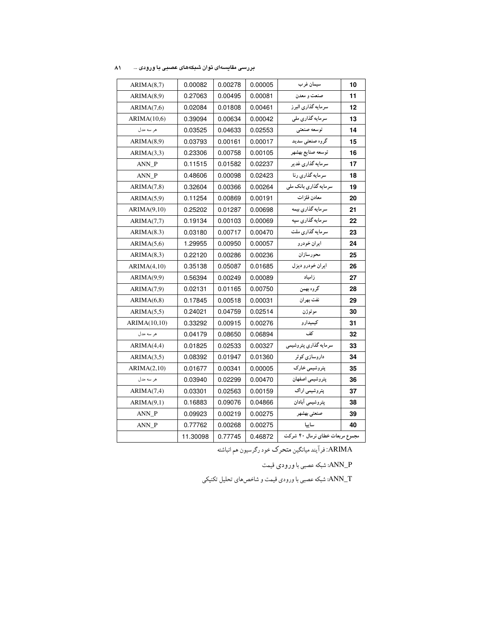| ARIMA(8,7)   | 0.00082  | 0.00278 | 0.00005 | سيمان غرب                       | 10 |  |
|--------------|----------|---------|---------|---------------------------------|----|--|
| ARIMA(8,9)   | 0.27063  | 0.00495 | 0.00081 | صنعت و معدن                     | 11 |  |
| ARIMA(7,6)   | 0.02084  | 0.01808 | 0.00461 | سرمايه گذارى البرز              | 12 |  |
| ARIMA(10,6)  | 0.39094  | 0.00634 | 0.00042 | سرمايه گذارى ملى                | 13 |  |
| هر سه مدل    | 0.03525  | 0.04633 | 0.02553 | توسعه صنعتى                     | 14 |  |
| ARIMA(8.9)   | 0.03793  | 0.00161 | 0.00017 | گروه صنعتی سدید                 | 15 |  |
| ARIMA(3,3)   | 0.23306  | 0.00758 | 0.00105 | توسعه صنايع بهشهر               | 16 |  |
| ANN_P        | 0.11515  | 0.01582 | 0.02237 | سرمايه گذاري غدير               | 17 |  |
| ANN_P        | 0.48606  | 0.00098 | 0.02423 | سر مایه گذاری رنا               | 18 |  |
| ARIMA(7,8)   | 0.32604  | 0.00366 | 0.00264 | سرمايه گذاري بانک ملي           | 19 |  |
| ARIMA(5,9)   | 0.11254  | 0.00869 | 0.00191 | معادن فلز ات                    | 20 |  |
| ARIMA(9,10)  | 0.25202  | 0.01287 | 0.00698 | سر مایه گذاری بیمه              | 21 |  |
| ARIMA(7,7)   | 0.19134  | 0.00103 | 0.00069 | سرمايه گذاري سپه                | 22 |  |
| ARIMA(8.3)   | 0.03180  | 0.00717 | 0.00470 | سرمايه گذاري ملت                | 23 |  |
| ARIMA(5,6)   | 1.29955  | 0.00950 | 0.00057 | ايران خودرو                     | 24 |  |
| ARIMA(8,3)   | 0.22120  | 0.00286 | 0.00236 | محورسازان                       | 25 |  |
| ARIMA(4,10)  | 0.35138  | 0.05087 | 0.01685 | ايران خودرو ديزل                | 26 |  |
| ARIMA(9,9)   | 0.56394  | 0.00249 | 0.00089 | زامياد                          | 27 |  |
| ARIMA(7,9)   | 0.02131  | 0.01165 | 0.00750 | گروه بهمن                       | 28 |  |
| ARIMA(6,8)   | 0.17845  | 0.00518 | 0.00031 | نفت بهران                       | 29 |  |
| ARIMA(5,5)   | 0.24021  | 0.04759 | 0.02514 | موتوژن                          | 30 |  |
| ARIMA(10,10) | 0.33292  | 0.00915 | 0.00276 | کیمیدارو                        | 31 |  |
| هر سه مدل    | 0.04179  | 0.08650 | 0.06894 | كف                              | 32 |  |
| ARIMA(4,4)   | 0.01825  | 0.02533 | 0.00327 | سرمايه گذاري پتروشيمي           | 33 |  |
| ARIMA(3,5)   | 0.08392  | 0.01947 | 0.01360 | داروسازی کو ثر                  | 34 |  |
| ARIMA(2,10)  | 0.01677  | 0.00341 | 0.00005 | پتروشیمی خارک                   | 35 |  |
| هر سه مدل    | 0.03940  | 0.02299 | 0.00470 | پتروشيمي اصفهان                 | 36 |  |
| ARIMA(7,4)   | 0.03301  | 0.02563 | 0.00159 | پتروشیمی اراک                   | 37 |  |
| ARIMA(9,1)   | 0.16883  | 0.09076 | 0.04866 | يتروشيمي أبادان                 | 38 |  |
| ANN_P        | 0.09923  | 0.00219 | 0.00275 | صنعتي بهشهر                     | 39 |  |
| ANN_P        | 0.77762  | 0.00268 | 0.00275 | ساييا                           | 40 |  |
|              | 11.30098 | 0.77745 | 0.46872 | مجموع مربعات خطاي نرمال ۴۰ شركت |    |  |
|              |          |         |         |                                 |    |  |

بررسی مقایسهای توان شبکههای عصبی با ورودی ... ۸۱

.<br>ARIMA: فرآیند میانگین متحرک خود رگرسیون هم انباشته

ANN\_P: شبکه عصبي با ورودي قيمت

ANN\_T: شبکه عصبی با ورودی قیمت و شاخصهای تحلیل تکنیکی